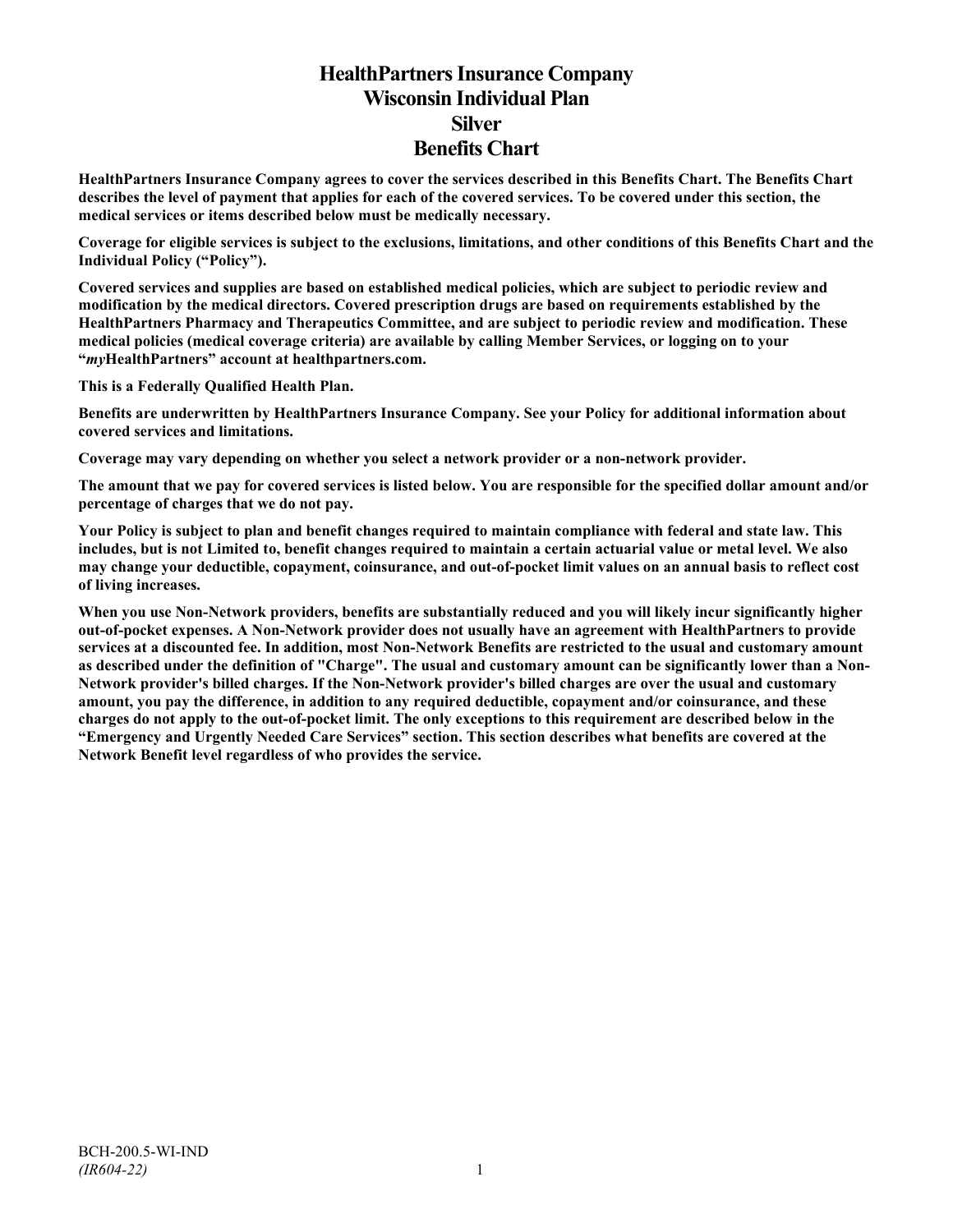# **HealthPartners Insurance Company Wisconsin Individual Plan Silver Benefits Chart**

**HealthPartners Insurance Company agrees to cover the services described in this Benefits Chart. The Benefits Chart describes the level of payment that applies for each of the covered services. To be covered under this section, the medical services or items described below must be medically necessary.**

**Coverage for eligible services is subject to the exclusions, limitations, and other conditions of this Benefits Chart and the Individual Policy ("Policy").**

**Covered services and supplies are based on established medical policies, which are subject to periodic review and modification by the medical directors. Covered prescription drugs are based on requirements established by the HealthPartners Pharmacy and Therapeutics Committee, and are subject to periodic review and modification. These medical policies (medical coverage criteria) are available by calling Member Services, or logging on to your "***my***HealthPartners" account at [healthpartners.com.](http://www.healthpartners.com/)**

**This is a Federally Qualified Health Plan.**

**Benefits are underwritten by HealthPartners Insurance Company. See your Policy for additional information about covered services and limitations.**

**Coverage may vary depending on whether you select a network provider or a non-network provider.**

**The amount that we pay for covered services is listed below. You are responsible for the specified dollar amount and/or percentage of charges that we do not pay.**

**Your Policy is subject to plan and benefit changes required to maintain compliance with federal and state law. This includes, but is not Limited to, benefit changes required to maintain a certain actuarial value or metal level. We also may change your deductible, copayment, coinsurance, and out-of-pocket limit values on an annual basis to reflect cost of living increases.**

**When you use Non-Network providers, benefits are substantially reduced and you will likely incur significantly higher out-of-pocket expenses. A Non-Network provider does not usually have an agreement with HealthPartners to provide services at a discounted fee. In addition, most Non-Network Benefits are restricted to the usual and customary amount as described under the definition of "Charge". The usual and customary amount can be significantly lower than a Non-Network provider's billed charges. If the Non-Network provider's billed charges are over the usual and customary amount, you pay the difference, in addition to any required deductible, copayment and/or coinsurance, and these charges do not apply to the out-of-pocket limit. The only exceptions to this requirement are described below in the "Emergency and Urgently Needed Care Services" section. This section describes what benefits are covered at the Network Benefit level regardless of who provides the service.**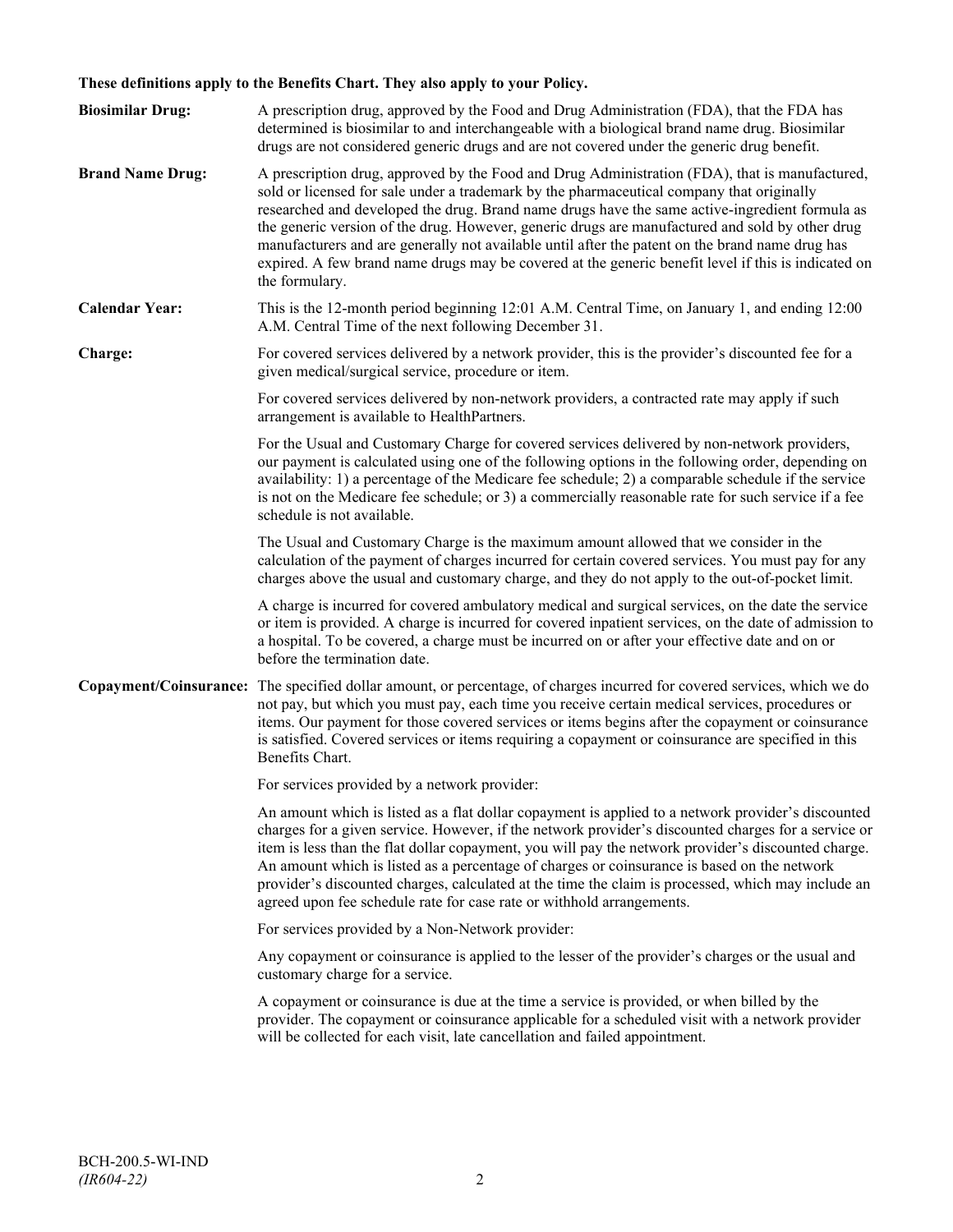## **These definitions apply to the Benefits Chart. They also apply to your Policy.**

| <b>Biosimilar Drug:</b> | A prescription drug, approved by the Food and Drug Administration (FDA), that the FDA has<br>determined is biosimilar to and interchangeable with a biological brand name drug. Biosimilar<br>drugs are not considered generic drugs and are not covered under the generic drug benefit.                                                                                                                                                                                                                                                                                                                                     |
|-------------------------|------------------------------------------------------------------------------------------------------------------------------------------------------------------------------------------------------------------------------------------------------------------------------------------------------------------------------------------------------------------------------------------------------------------------------------------------------------------------------------------------------------------------------------------------------------------------------------------------------------------------------|
| <b>Brand Name Drug:</b> | A prescription drug, approved by the Food and Drug Administration (FDA), that is manufactured,<br>sold or licensed for sale under a trademark by the pharmaceutical company that originally<br>researched and developed the drug. Brand name drugs have the same active-ingredient formula as<br>the generic version of the drug. However, generic drugs are manufactured and sold by other drug<br>manufacturers and are generally not available until after the patent on the brand name drug has<br>expired. A few brand name drugs may be covered at the generic benefit level if this is indicated on<br>the formulary. |
| <b>Calendar Year:</b>   | This is the 12-month period beginning 12:01 A.M. Central Time, on January 1, and ending 12:00<br>A.M. Central Time of the next following December 31.                                                                                                                                                                                                                                                                                                                                                                                                                                                                        |
| Charge:                 | For covered services delivered by a network provider, this is the provider's discounted fee for a<br>given medical/surgical service, procedure or item.                                                                                                                                                                                                                                                                                                                                                                                                                                                                      |
|                         | For covered services delivered by non-network providers, a contracted rate may apply if such<br>arrangement is available to HealthPartners.                                                                                                                                                                                                                                                                                                                                                                                                                                                                                  |
|                         | For the Usual and Customary Charge for covered services delivered by non-network providers,<br>our payment is calculated using one of the following options in the following order, depending on<br>availability: 1) a percentage of the Medicare fee schedule; 2) a comparable schedule if the service<br>is not on the Medicare fee schedule; or 3) a commercially reasonable rate for such service if a fee<br>schedule is not available.                                                                                                                                                                                 |
|                         | The Usual and Customary Charge is the maximum amount allowed that we consider in the<br>calculation of the payment of charges incurred for certain covered services. You must pay for any<br>charges above the usual and customary charge, and they do not apply to the out-of-pocket limit.                                                                                                                                                                                                                                                                                                                                 |
|                         | A charge is incurred for covered ambulatory medical and surgical services, on the date the service<br>or item is provided. A charge is incurred for covered inpatient services, on the date of admission to<br>a hospital. To be covered, a charge must be incurred on or after your effective date and on or<br>before the termination date.                                                                                                                                                                                                                                                                                |
|                         | Copayment/Coinsurance: The specified dollar amount, or percentage, of charges incurred for covered services, which we do<br>not pay, but which you must pay, each time you receive certain medical services, procedures or<br>items. Our payment for those covered services or items begins after the copayment or coinsurance<br>is satisfied. Covered services or items requiring a copayment or coinsurance are specified in this<br>Benefits Chart.                                                                                                                                                                      |
|                         | For services provided by a network provider:                                                                                                                                                                                                                                                                                                                                                                                                                                                                                                                                                                                 |
|                         | An amount which is listed as a flat dollar copayment is applied to a network provider's discounted<br>charges for a given service. However, if the network provider's discounted charges for a service or<br>item is less than the flat dollar copayment, you will pay the network provider's discounted charge.<br>An amount which is listed as a percentage of charges or coinsurance is based on the network<br>provider's discounted charges, calculated at the time the claim is processed, which may include an<br>agreed upon fee schedule rate for case rate or withhold arrangements.                               |
|                         | For services provided by a Non-Network provider:                                                                                                                                                                                                                                                                                                                                                                                                                                                                                                                                                                             |
|                         | Any copayment or coinsurance is applied to the lesser of the provider's charges or the usual and<br>customary charge for a service.                                                                                                                                                                                                                                                                                                                                                                                                                                                                                          |
|                         | A copayment or coinsurance is due at the time a service is provided, or when billed by the<br>provider. The copayment or coinsurance applicable for a scheduled visit with a network provider<br>will be collected for each visit, late cancellation and failed appointment.                                                                                                                                                                                                                                                                                                                                                 |
|                         |                                                                                                                                                                                                                                                                                                                                                                                                                                                                                                                                                                                                                              |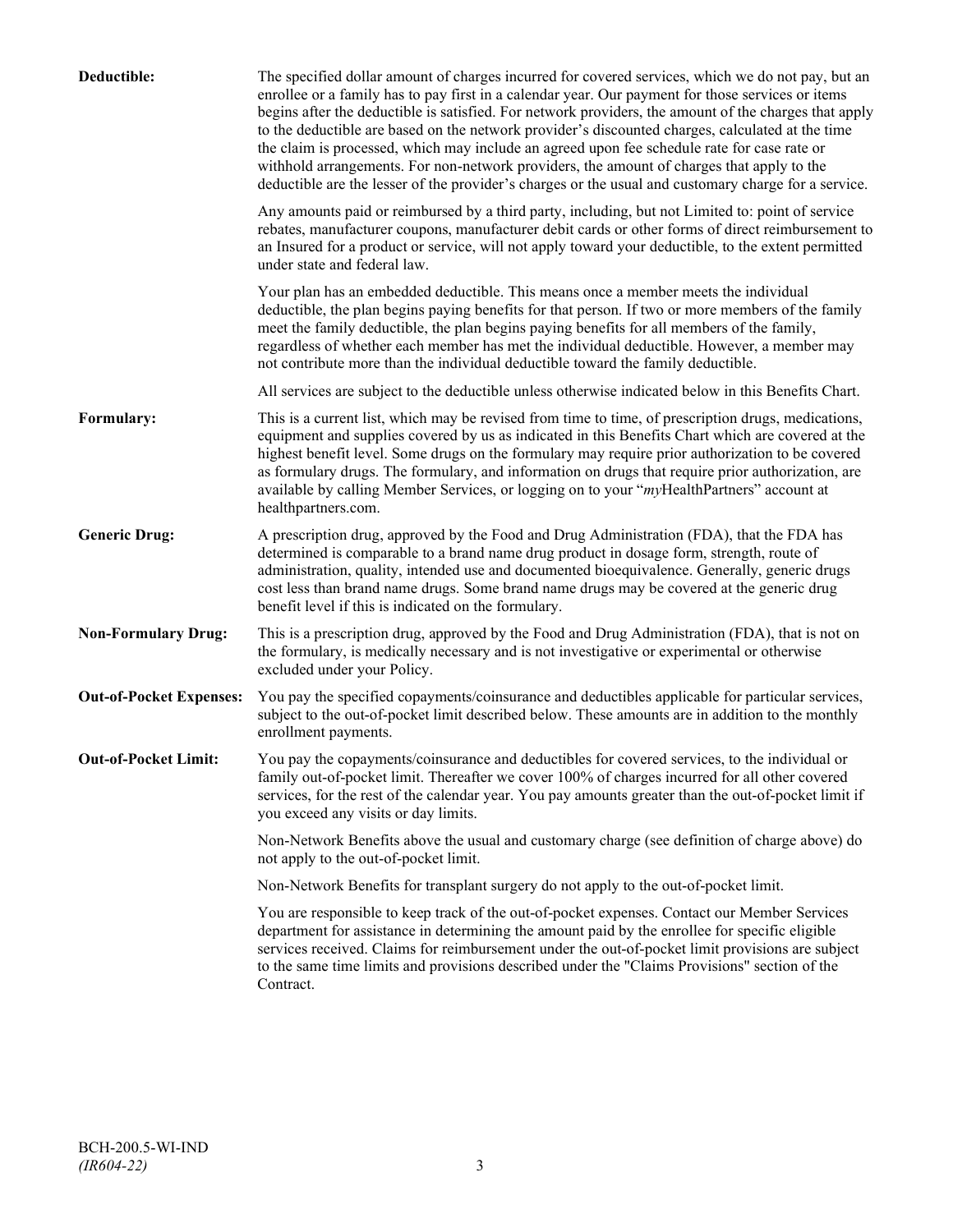| Deductible:                    | The specified dollar amount of charges incurred for covered services, which we do not pay, but an<br>enrollee or a family has to pay first in a calendar year. Our payment for those services or items<br>begins after the deductible is satisfied. For network providers, the amount of the charges that apply<br>to the deductible are based on the network provider's discounted charges, calculated at the time<br>the claim is processed, which may include an agreed upon fee schedule rate for case rate or<br>withhold arrangements. For non-network providers, the amount of charges that apply to the<br>deductible are the lesser of the provider's charges or the usual and customary charge for a service. |
|--------------------------------|-------------------------------------------------------------------------------------------------------------------------------------------------------------------------------------------------------------------------------------------------------------------------------------------------------------------------------------------------------------------------------------------------------------------------------------------------------------------------------------------------------------------------------------------------------------------------------------------------------------------------------------------------------------------------------------------------------------------------|
|                                | Any amounts paid or reimbursed by a third party, including, but not Limited to: point of service<br>rebates, manufacturer coupons, manufacturer debit cards or other forms of direct reimbursement to<br>an Insured for a product or service, will not apply toward your deductible, to the extent permitted<br>under state and federal law.                                                                                                                                                                                                                                                                                                                                                                            |
|                                | Your plan has an embedded deductible. This means once a member meets the individual<br>deductible, the plan begins paying benefits for that person. If two or more members of the family<br>meet the family deductible, the plan begins paying benefits for all members of the family,<br>regardless of whether each member has met the individual deductible. However, a member may<br>not contribute more than the individual deductible toward the family deductible.                                                                                                                                                                                                                                                |
|                                | All services are subject to the deductible unless otherwise indicated below in this Benefits Chart.                                                                                                                                                                                                                                                                                                                                                                                                                                                                                                                                                                                                                     |
| Formulary:                     | This is a current list, which may be revised from time to time, of prescription drugs, medications,<br>equipment and supplies covered by us as indicated in this Benefits Chart which are covered at the<br>highest benefit level. Some drugs on the formulary may require prior authorization to be covered<br>as formulary drugs. The formulary, and information on drugs that require prior authorization, are<br>available by calling Member Services, or logging on to your "myHealthPartners" account at<br>healthpartners.com.                                                                                                                                                                                   |
| <b>Generic Drug:</b>           | A prescription drug, approved by the Food and Drug Administration (FDA), that the FDA has<br>determined is comparable to a brand name drug product in dosage form, strength, route of<br>administration, quality, intended use and documented bioequivalence. Generally, generic drugs<br>cost less than brand name drugs. Some brand name drugs may be covered at the generic drug<br>benefit level if this is indicated on the formulary.                                                                                                                                                                                                                                                                             |
| <b>Non-Formulary Drug:</b>     | This is a prescription drug, approved by the Food and Drug Administration (FDA), that is not on<br>the formulary, is medically necessary and is not investigative or experimental or otherwise<br>excluded under your Policy.                                                                                                                                                                                                                                                                                                                                                                                                                                                                                           |
| <b>Out-of-Pocket Expenses:</b> | You pay the specified copayments/coinsurance and deductibles applicable for particular services,<br>subject to the out-of-pocket limit described below. These amounts are in addition to the monthly<br>enrollment payments.                                                                                                                                                                                                                                                                                                                                                                                                                                                                                            |
| <b>Out-of-Pocket Limit:</b>    | You pay the copayments/coinsurance and deductibles for covered services, to the individual or<br>family out-of-pocket limit. Thereafter we cover 100% of charges incurred for all other covered<br>services, for the rest of the calendar year. You pay amounts greater than the out-of-pocket limit if<br>you exceed any visits or day limits.                                                                                                                                                                                                                                                                                                                                                                         |
|                                | Non-Network Benefits above the usual and customary charge (see definition of charge above) do<br>not apply to the out-of-pocket limit.                                                                                                                                                                                                                                                                                                                                                                                                                                                                                                                                                                                  |
|                                | Non-Network Benefits for transplant surgery do not apply to the out-of-pocket limit.                                                                                                                                                                                                                                                                                                                                                                                                                                                                                                                                                                                                                                    |
|                                | You are responsible to keep track of the out-of-pocket expenses. Contact our Member Services<br>department for assistance in determining the amount paid by the enrollee for specific eligible<br>services received. Claims for reimbursement under the out-of-pocket limit provisions are subject<br>to the same time limits and provisions described under the "Claims Provisions" section of the<br>Contract.                                                                                                                                                                                                                                                                                                        |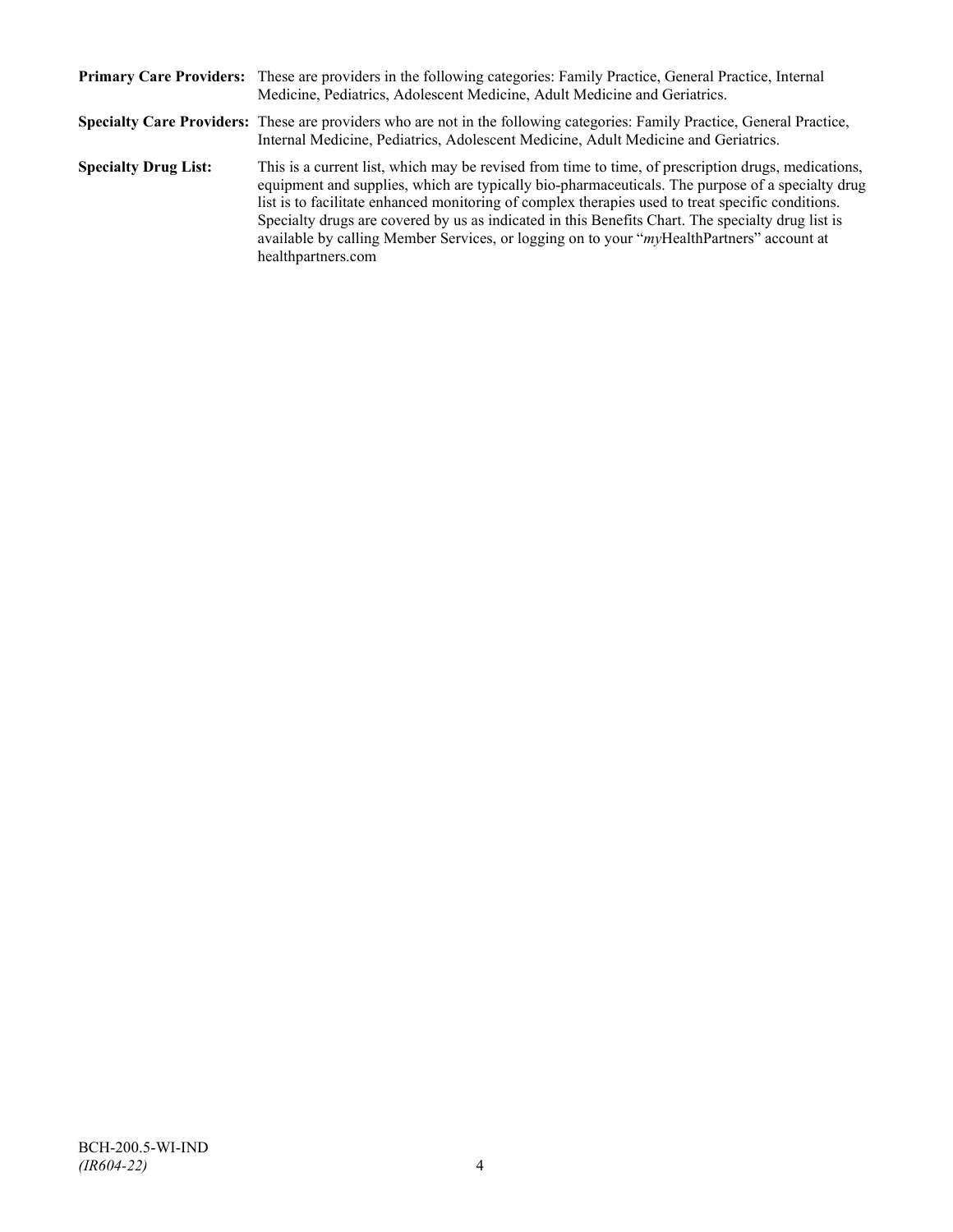|                             | Primary Care Providers: These are providers in the following categories: Family Practice, General Practice, Internal<br>Medicine, Pediatrics, Adolescent Medicine, Adult Medicine and Geriatrics.                                                                                                                                                                                                                                                                                                                                    |
|-----------------------------|--------------------------------------------------------------------------------------------------------------------------------------------------------------------------------------------------------------------------------------------------------------------------------------------------------------------------------------------------------------------------------------------------------------------------------------------------------------------------------------------------------------------------------------|
|                             | Specialty Care Providers: These are providers who are not in the following categories: Family Practice, General Practice,<br>Internal Medicine, Pediatrics, Adolescent Medicine, Adult Medicine and Geriatrics.                                                                                                                                                                                                                                                                                                                      |
| <b>Specialty Drug List:</b> | This is a current list, which may be revised from time to time, of prescription drugs, medications,<br>equipment and supplies, which are typically bio-pharmaceuticals. The purpose of a specialty drug<br>list is to facilitate enhanced monitoring of complex therapies used to treat specific conditions.<br>Specialty drugs are covered by us as indicated in this Benefits Chart. The specialty drug list is<br>available by calling Member Services, or logging on to your "myHealthPartners" account at<br>healthpartners.com |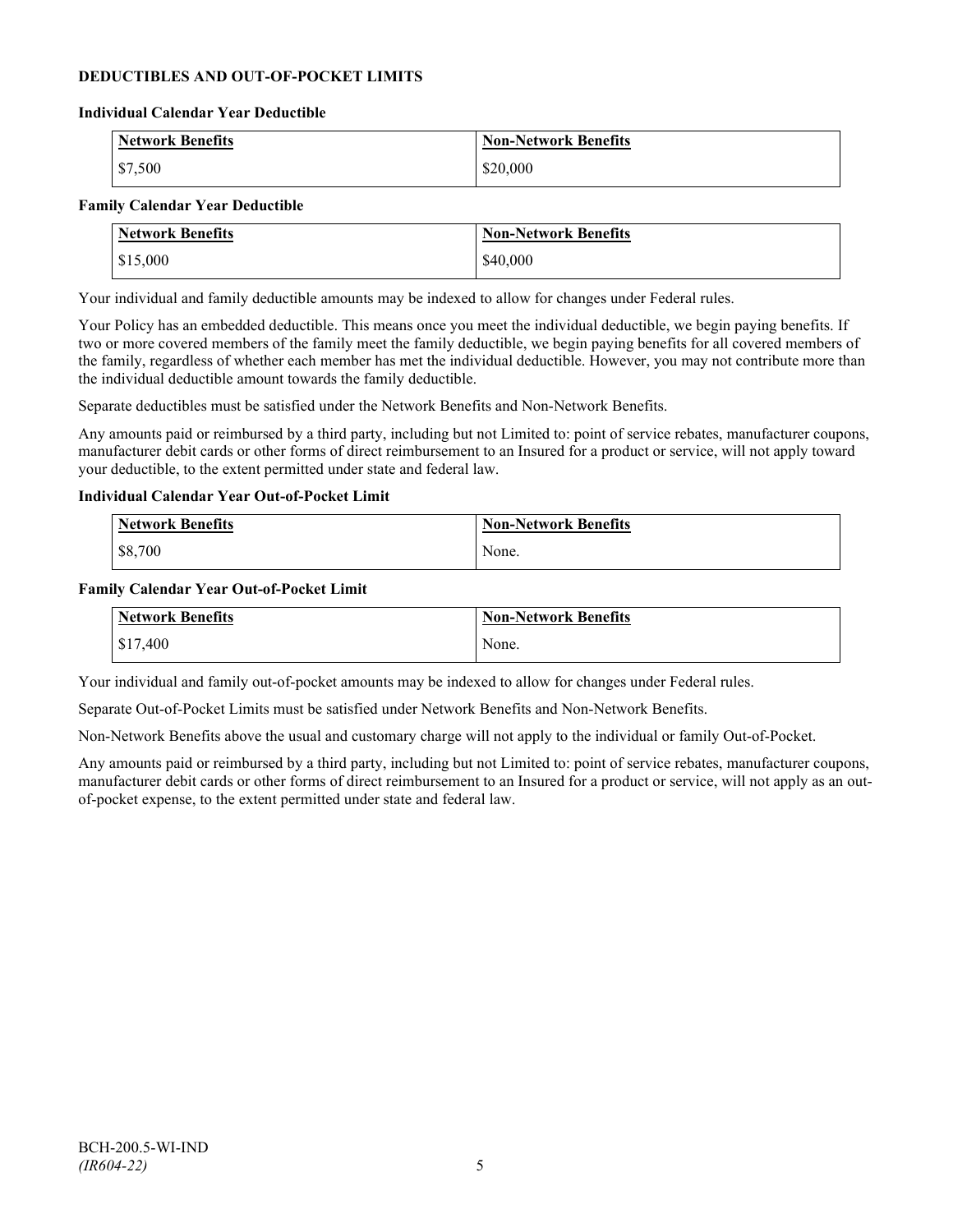## **DEDUCTIBLES AND OUT-OF-POCKET LIMITS**

#### **Individual Calendar Year Deductible**

| <b>Network Benefits</b> | <b>Non-Network Benefits</b> |
|-------------------------|-----------------------------|
| \$7,500                 | \$20,000                    |

#### **Family Calendar Year Deductible**

| <b>Network Benefits</b> | <b>Non-Network Benefits</b> |
|-------------------------|-----------------------------|
| \$15,000                | \$40,000                    |

Your individual and family deductible amounts may be indexed to allow for changes under Federal rules.

Your Policy has an embedded deductible. This means once you meet the individual deductible, we begin paying benefits. If two or more covered members of the family meet the family deductible, we begin paying benefits for all covered members of the family, regardless of whether each member has met the individual deductible. However, you may not contribute more than the individual deductible amount towards the family deductible.

Separate deductibles must be satisfied under the Network Benefits and Non-Network Benefits.

Any amounts paid or reimbursed by a third party, including but not Limited to: point of service rebates, manufacturer coupons, manufacturer debit cards or other forms of direct reimbursement to an Insured for a product or service, will not apply toward your deductible, to the extent permitted under state and federal law.

#### **Individual Calendar Year Out-of-Pocket Limit**

| <b>Network Benefits</b> | <b>Non-Network Benefits</b> |
|-------------------------|-----------------------------|
| \$8,700                 | None.                       |

#### **Family Calendar Year Out-of-Pocket Limit**

| Network Benefits | Non-Network Benefits |
|------------------|----------------------|
| \$17,400         | None.                |

Your individual and family out-of-pocket amounts may be indexed to allow for changes under Federal rules.

Separate Out-of-Pocket Limits must be satisfied under Network Benefits and Non-Network Benefits.

Non-Network Benefits above the usual and customary charge will not apply to the individual or family Out-of-Pocket.

Any amounts paid or reimbursed by a third party, including but not Limited to: point of service rebates, manufacturer coupons, manufacturer debit cards or other forms of direct reimbursement to an Insured for a product or service, will not apply as an outof-pocket expense, to the extent permitted under state and federal law.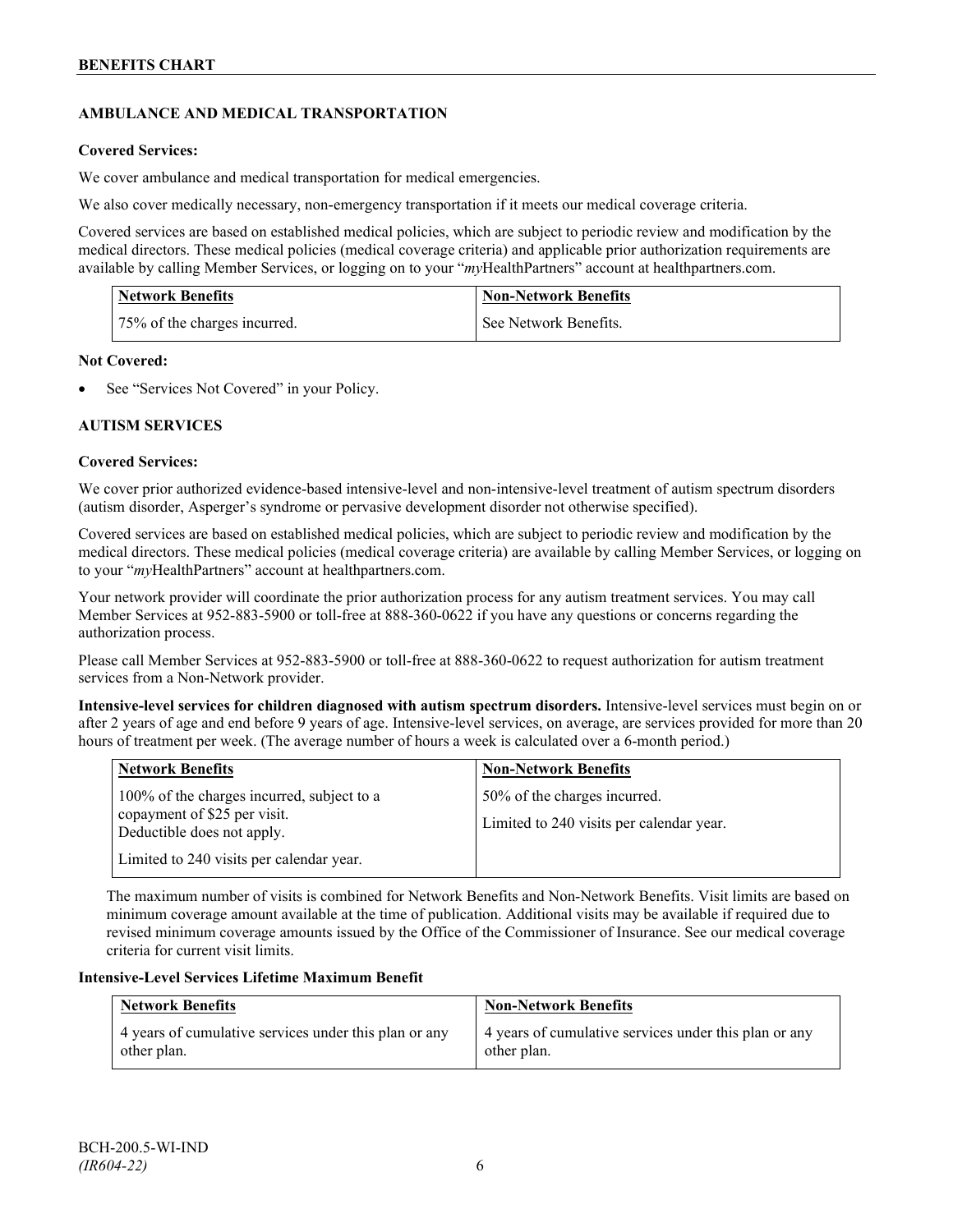## **AMBULANCE AND MEDICAL TRANSPORTATION**

## **Covered Services:**

We cover ambulance and medical transportation for medical emergencies.

We also cover medically necessary, non-emergency transportation if it meets our medical coverage criteria.

Covered services are based on established medical policies, which are subject to periodic review and modification by the medical directors. These medical policies (medical coverage criteria) and applicable prior authorization requirements are available by calling Member Services, or logging on to your "*my*HealthPartners" account a[t healthpartners.com.](http://www.healthpartners.com/)

| <b>Network Benefits</b>      | <b>Non-Network Benefits</b> |
|------------------------------|-----------------------------|
| 75% of the charges incurred. | See Network Benefits.       |

## **Not Covered:**

See "Services Not Covered" in your Policy.

## **AUTISM SERVICES**

## **Covered Services:**

We cover prior authorized evidence-based intensive-level and non-intensive-level treatment of autism spectrum disorders (autism disorder, Asperger's syndrome or pervasive development disorder not otherwise specified).

Covered services are based on established medical policies, which are subject to periodic review and modification by the medical directors. These medical policies (medical coverage criteria) are available by calling Member Services, or logging on to your "*my*HealthPartners" account at [healthpartners.com.](http://www.healthpartners.com/)

Your network provider will coordinate the prior authorization process for any autism treatment services. You may call Member Services at 952-883-5900 or toll-free at 888-360-0622 if you have any questions or concerns regarding the authorization process.

Please call Member Services at 952-883-5900 or toll-free at 888-360-0622 to request authorization for autism treatment services from a Non-Network provider.

**Intensive-level services for children diagnosed with autism spectrum disorders.** Intensive-level services must begin on or after 2 years of age and end before 9 years of age. Intensive-level services, on average, are services provided for more than 20 hours of treatment per week. (The average number of hours a week is calculated over a 6-month period.)

| <b>Network Benefits</b>                                                                                  | <b>Non-Network Benefits</b>                                              |
|----------------------------------------------------------------------------------------------------------|--------------------------------------------------------------------------|
| 100% of the charges incurred, subject to a<br>copayment of \$25 per visit.<br>Deductible does not apply. | 50% of the charges incurred.<br>Limited to 240 visits per calendar year. |
| Limited to 240 visits per calendar year.                                                                 |                                                                          |

The maximum number of visits is combined for Network Benefits and Non-Network Benefits. Visit limits are based on minimum coverage amount available at the time of publication. Additional visits may be available if required due to revised minimum coverage amounts issued by the Office of the Commissioner of Insurance. See our medical coverage criteria for current visit limits.

#### **Intensive-Level Services Lifetime Maximum Benefit**

| <b>Network Benefits</b>                               | <b>Non-Network Benefits</b>                           |
|-------------------------------------------------------|-------------------------------------------------------|
| 4 years of cumulative services under this plan or any | 4 years of cumulative services under this plan or any |
| other plan.                                           | other plan.                                           |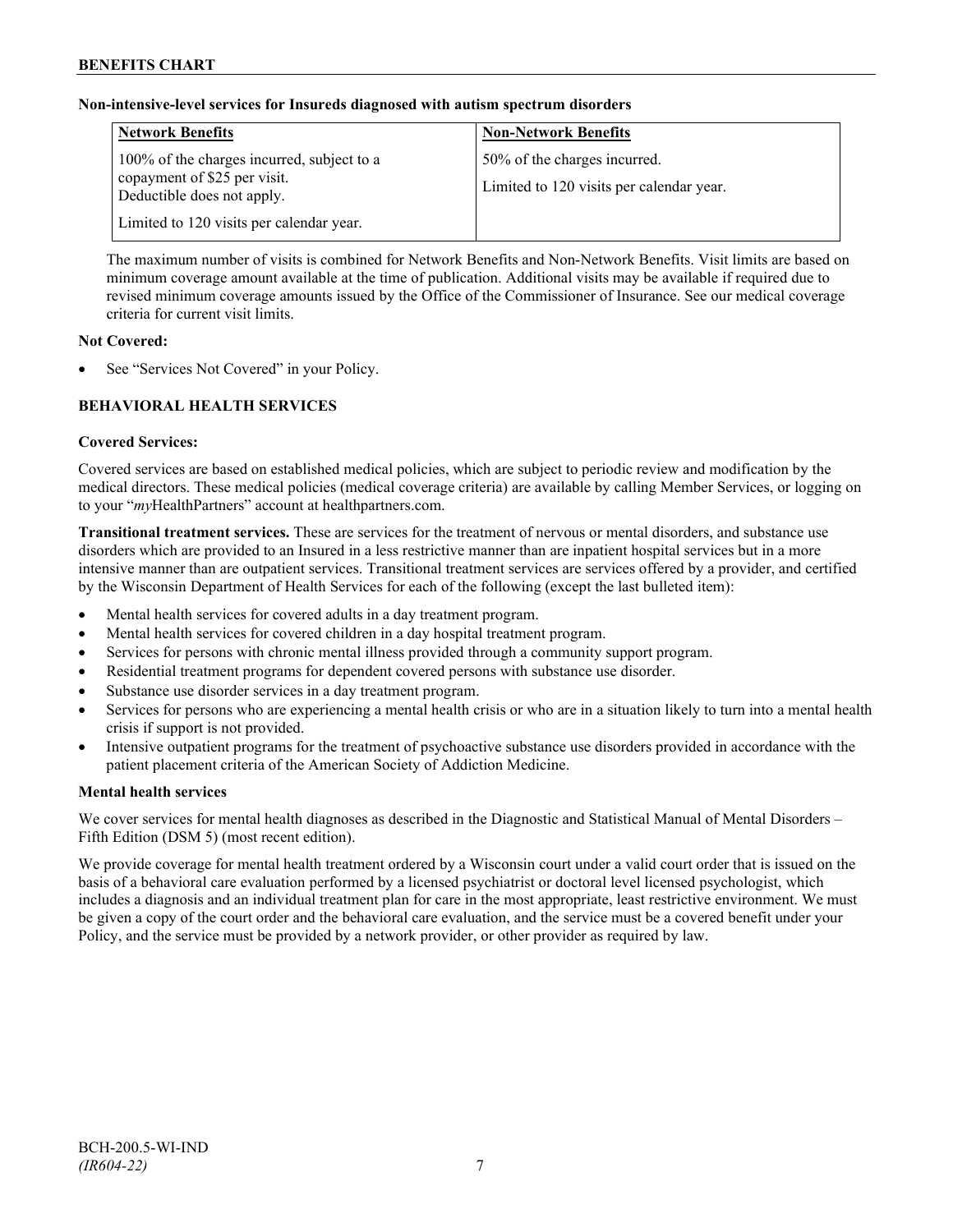## **Non-intensive-level services for Insureds diagnosed with autism spectrum disorders**

| <b>Network Benefits</b>                                                                                  | <b>Non-Network Benefits</b>                                              |
|----------------------------------------------------------------------------------------------------------|--------------------------------------------------------------------------|
| 100% of the charges incurred, subject to a<br>copayment of \$25 per visit.<br>Deductible does not apply. | 50% of the charges incurred.<br>Limited to 120 visits per calendar year. |
| Limited to 120 visits per calendar year.                                                                 |                                                                          |

The maximum number of visits is combined for Network Benefits and Non-Network Benefits. Visit limits are based on minimum coverage amount available at the time of publication. Additional visits may be available if required due to revised minimum coverage amounts issued by the Office of the Commissioner of Insurance. See our medical coverage criteria for current visit limits.

## **Not Covered:**

See "Services Not Covered" in your Policy.

## **BEHAVIORAL HEALTH SERVICES**

#### **Covered Services:**

Covered services are based on established medical policies, which are subject to periodic review and modification by the medical directors. These medical policies (medical coverage criteria) are available by calling Member Services, or logging on to your "*my*HealthPartners" account at [healthpartners.com.](http://www.healthpartners.com/)

**Transitional treatment services.** These are services for the treatment of nervous or mental disorders, and substance use disorders which are provided to an Insured in a less restrictive manner than are inpatient hospital services but in a more intensive manner than are outpatient services. Transitional treatment services are services offered by a provider, and certified by the Wisconsin Department of Health Services for each of the following (except the last bulleted item):

- Mental health services for covered adults in a day treatment program.
- Mental health services for covered children in a day hospital treatment program.
- Services for persons with chronic mental illness provided through a community support program.
- Residential treatment programs for dependent covered persons with substance use disorder.
- Substance use disorder services in a day treatment program.
- Services for persons who are experiencing a mental health crisis or who are in a situation likely to turn into a mental health crisis if support is not provided.
- Intensive outpatient programs for the treatment of psychoactive substance use disorders provided in accordance with the patient placement criteria of the American Society of Addiction Medicine.

## **Mental health services**

We cover services for mental health diagnoses as described in the Diagnostic and Statistical Manual of Mental Disorders – Fifth Edition (DSM 5) (most recent edition).

We provide coverage for mental health treatment ordered by a Wisconsin court under a valid court order that is issued on the basis of a behavioral care evaluation performed by a licensed psychiatrist or doctoral level licensed psychologist, which includes a diagnosis and an individual treatment plan for care in the most appropriate, least restrictive environment. We must be given a copy of the court order and the behavioral care evaluation, and the service must be a covered benefit under your Policy, and the service must be provided by a network provider, or other provider as required by law.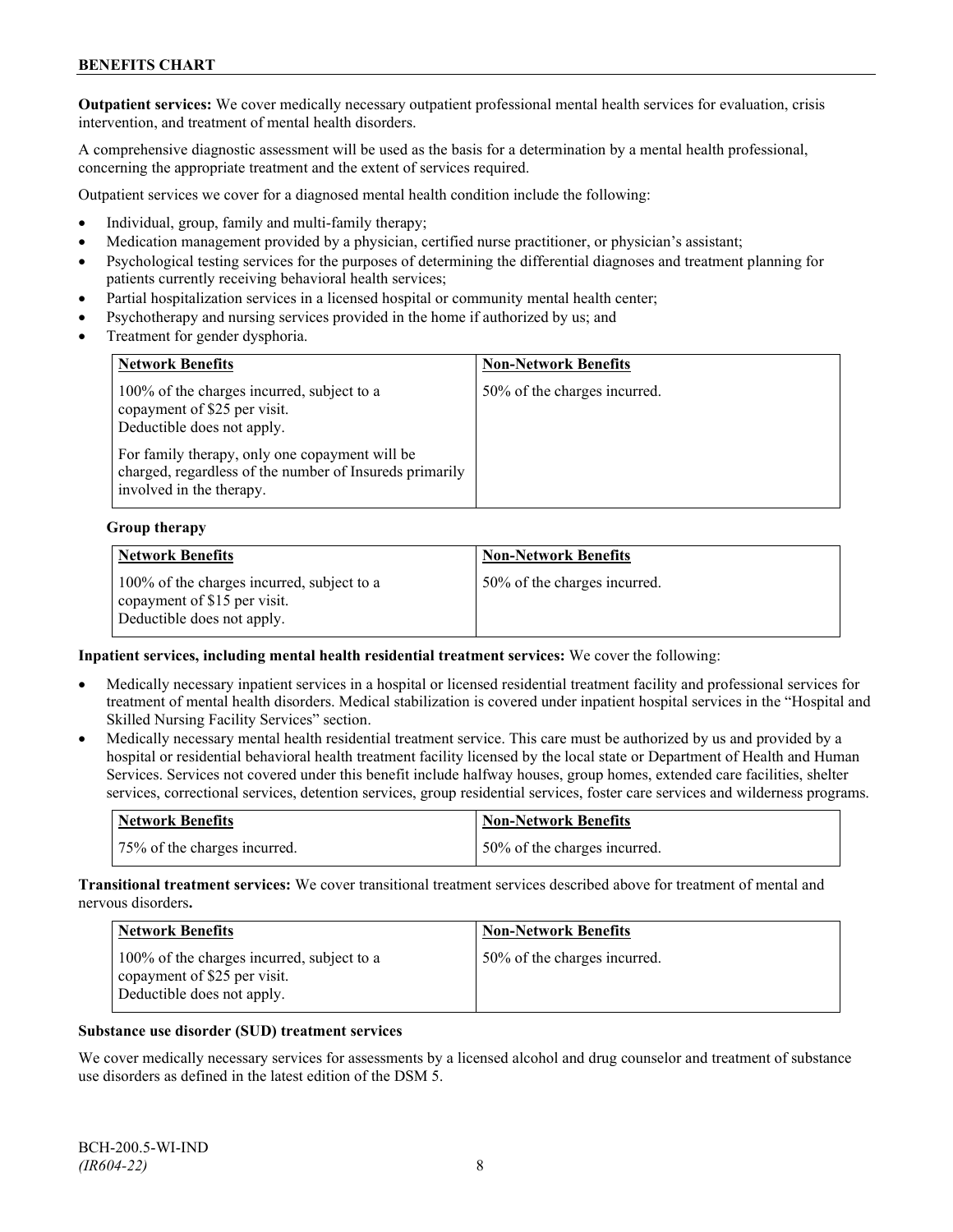**Outpatient services:** We cover medically necessary outpatient professional mental health services for evaluation, crisis intervention, and treatment of mental health disorders.

A comprehensive diagnostic assessment will be used as the basis for a determination by a mental health professional, concerning the appropriate treatment and the extent of services required.

Outpatient services we cover for a diagnosed mental health condition include the following:

- Individual, group, family and multi-family therapy;
- Medication management provided by a physician, certified nurse practitioner, or physician's assistant;
- Psychological testing services for the purposes of determining the differential diagnoses and treatment planning for patients currently receiving behavioral health services;
- Partial hospitalization services in a licensed hospital or community mental health center;
- Psychotherapy and nursing services provided in the home if authorized by us; and
- Treatment for gender dysphoria.

| <b>Network Benefits</b>                                                                                                               | <b>Non-Network Benefits</b>  |
|---------------------------------------------------------------------------------------------------------------------------------------|------------------------------|
| 100% of the charges incurred, subject to a<br>copayment of \$25 per visit.<br>Deductible does not apply.                              | 50% of the charges incurred. |
| For family therapy, only one copayment will be<br>charged, regardless of the number of Insureds primarily<br>involved in the therapy. |                              |

#### **Group therapy**

| <b>Network Benefits</b>                                                                                  | <b>Non-Network Benefits</b>  |
|----------------------------------------------------------------------------------------------------------|------------------------------|
| 100% of the charges incurred, subject to a<br>copayment of \$15 per visit.<br>Deductible does not apply. | 50% of the charges incurred. |

#### **Inpatient services, including mental health residential treatment services:** We cover the following:

- Medically necessary inpatient services in a hospital or licensed residential treatment facility and professional services for treatment of mental health disorders. Medical stabilization is covered under inpatient hospital services in the "Hospital and Skilled Nursing Facility Services" section.
- Medically necessary mental health residential treatment service. This care must be authorized by us and provided by a hospital or residential behavioral health treatment facility licensed by the local state or Department of Health and Human Services. Services not covered under this benefit include halfway houses, group homes, extended care facilities, shelter services, correctional services, detention services, group residential services, foster care services and wilderness programs.

| Network Benefits             | <b>Non-Network Benefits</b>  |
|------------------------------|------------------------------|
| 75% of the charges incurred. | 50% of the charges incurred. |

**Transitional treatment services:** We cover transitional treatment services described above for treatment of mental and nervous disorders**.**

| <b>Network Benefits</b>                                                                                  | <b>Non-Network Benefits</b>  |
|----------------------------------------------------------------------------------------------------------|------------------------------|
| 100% of the charges incurred, subject to a<br>copayment of \$25 per visit.<br>Deductible does not apply. | 50% of the charges incurred. |

#### **Substance use disorder (SUD) treatment services**

We cover medically necessary services for assessments by a licensed alcohol and drug counselor and treatment of substance use disorders as defined in the latest edition of the DSM 5.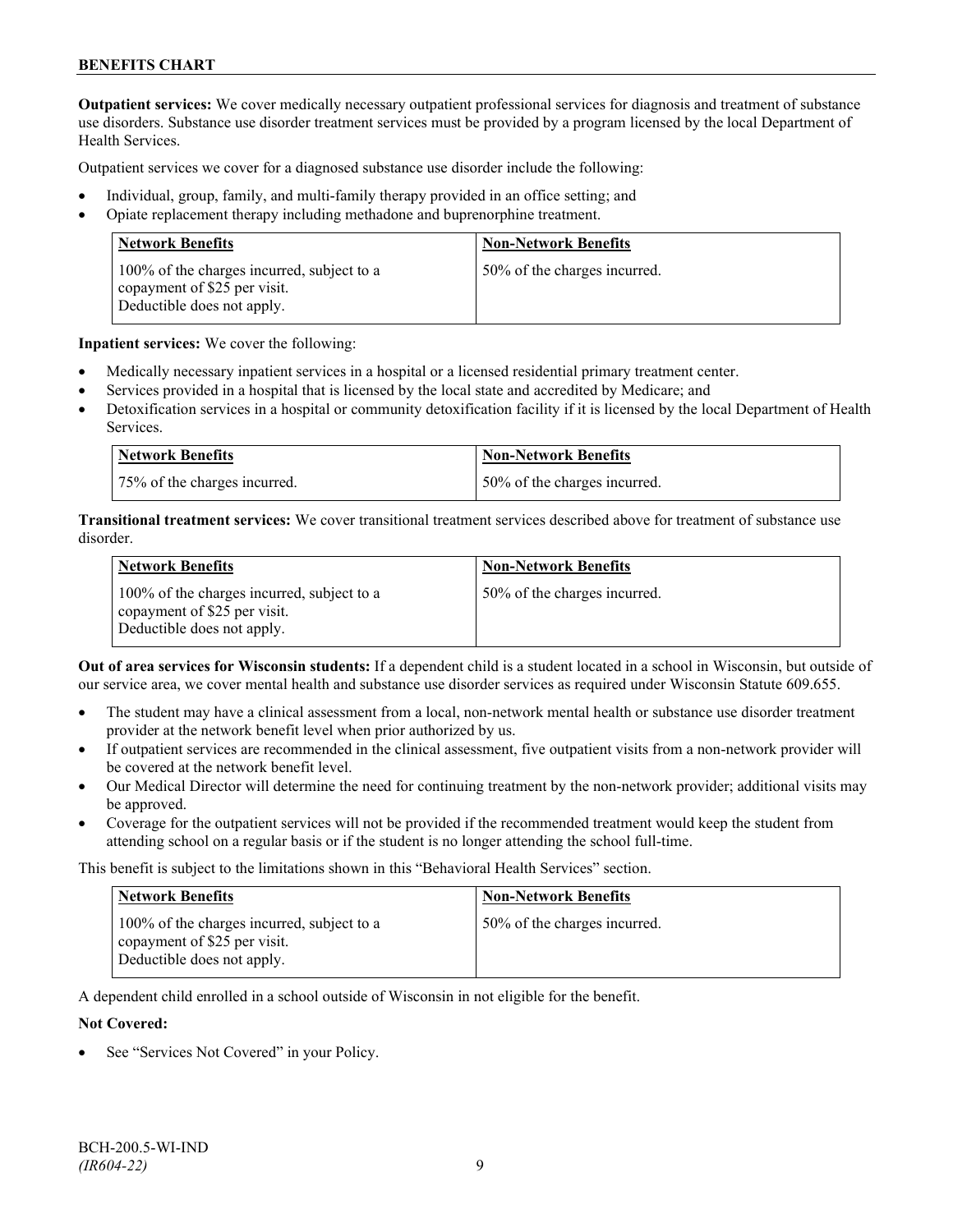**Outpatient services:** We cover medically necessary outpatient professional services for diagnosis and treatment of substance use disorders. Substance use disorder treatment services must be provided by a program licensed by the local Department of Health Services.

Outpatient services we cover for a diagnosed substance use disorder include the following:

- Individual, group, family, and multi-family therapy provided in an office setting; and
- Opiate replacement therapy including methadone and buprenorphine treatment.

| <b>Network Benefits</b>                                                                                  | <b>Non-Network Benefits</b>  |
|----------------------------------------------------------------------------------------------------------|------------------------------|
| 100% of the charges incurred, subject to a<br>copayment of \$25 per visit.<br>Deductible does not apply. | 50% of the charges incurred. |

**Inpatient services:** We cover the following:

- Medically necessary inpatient services in a hospital or a licensed residential primary treatment center.
- Services provided in a hospital that is licensed by the local state and accredited by Medicare; and
- Detoxification services in a hospital or community detoxification facility if it is licensed by the local Department of Health Services.

| Network Benefits             | <b>Non-Network Benefits</b>  |
|------------------------------|------------------------------|
| 75% of the charges incurred. | 50% of the charges incurred. |

**Transitional treatment services:** We cover transitional treatment services described above for treatment of substance use disorder.

| <b>Network Benefits</b>                                                                                  | <b>Non-Network Benefits</b>  |
|----------------------------------------------------------------------------------------------------------|------------------------------|
| 100% of the charges incurred, subject to a<br>copayment of \$25 per visit.<br>Deductible does not apply. | 50% of the charges incurred. |

**Out of area services for Wisconsin students:** If a dependent child is a student located in a school in Wisconsin, but outside of our service area, we cover mental health and substance use disorder services as required under Wisconsin Statute 609.655.

- The student may have a clinical assessment from a local, non-network mental health or substance use disorder treatment provider at the network benefit level when prior authorized by us.
- If outpatient services are recommended in the clinical assessment, five outpatient visits from a non-network provider will be covered at the network benefit level.
- Our Medical Director will determine the need for continuing treatment by the non-network provider; additional visits may be approved.
- Coverage for the outpatient services will not be provided if the recommended treatment would keep the student from attending school on a regular basis or if the student is no longer attending the school full-time.

This benefit is subject to the limitations shown in this "Behavioral Health Services" section.

| <b>Network Benefits</b>                                                                                  | <b>Non-Network Benefits</b>  |
|----------------------------------------------------------------------------------------------------------|------------------------------|
| 100% of the charges incurred, subject to a<br>copayment of \$25 per visit.<br>Deductible does not apply. | 50% of the charges incurred. |

A dependent child enrolled in a school outside of Wisconsin in not eligible for the benefit.

#### **Not Covered:**

See "Services Not Covered" in your Policy.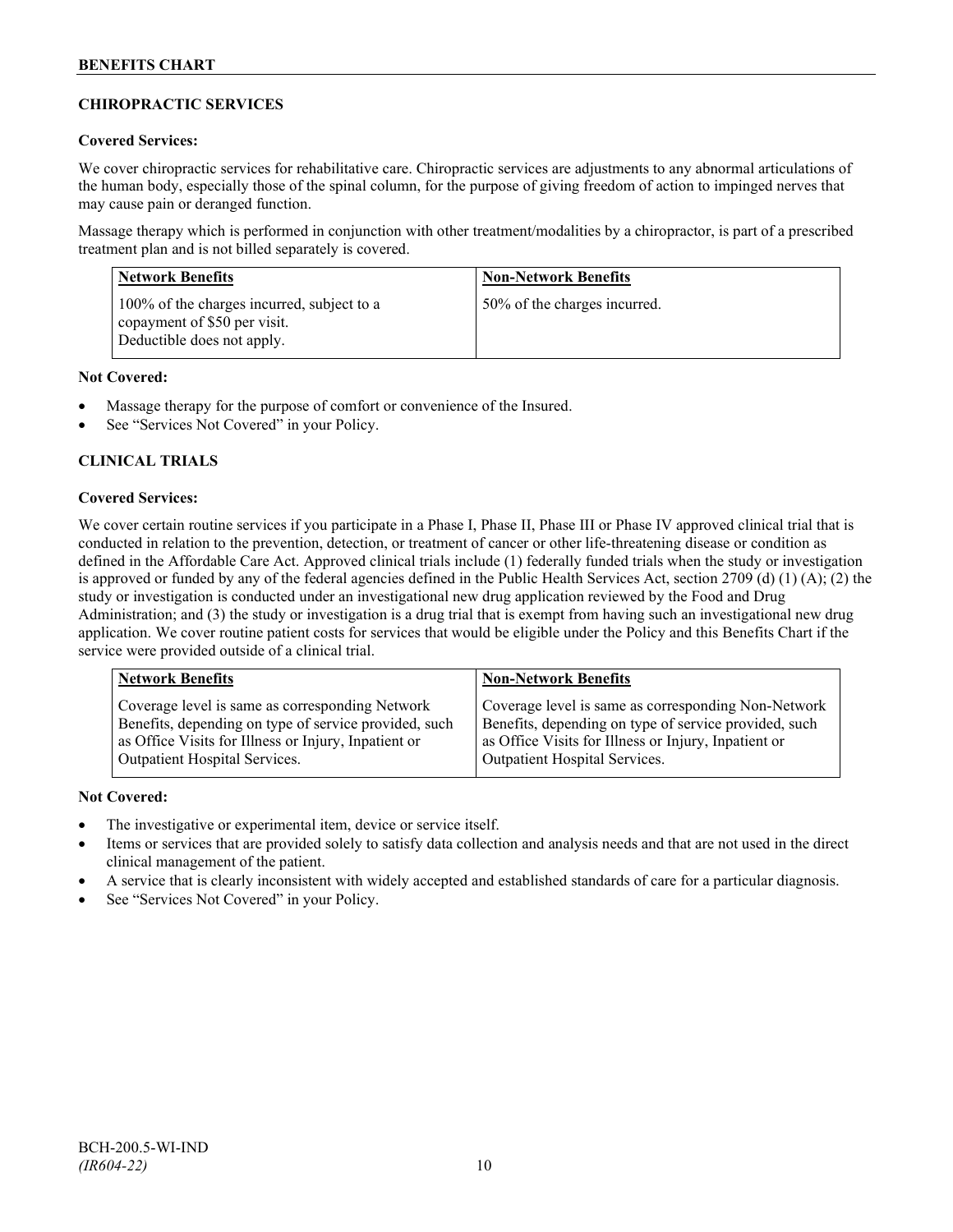## **CHIROPRACTIC SERVICES**

## **Covered Services:**

We cover chiropractic services for rehabilitative care. Chiropractic services are adjustments to any abnormal articulations of the human body, especially those of the spinal column, for the purpose of giving freedom of action to impinged nerves that may cause pain or deranged function.

Massage therapy which is performed in conjunction with other treatment/modalities by a chiropractor, is part of a prescribed treatment plan and is not billed separately is covered.

| <b>Network Benefits</b>                                                                                  | <b>Non-Network Benefits</b>  |
|----------------------------------------------------------------------------------------------------------|------------------------------|
| 100% of the charges incurred, subject to a<br>copayment of \$50 per visit.<br>Deductible does not apply. | 50% of the charges incurred. |

## **Not Covered:**

- Massage therapy for the purpose of comfort or convenience of the Insured.
- See "Services Not Covered" in your Policy.

## **CLINICAL TRIALS**

## **Covered Services:**

We cover certain routine services if you participate in a Phase I, Phase II, Phase III or Phase IV approved clinical trial that is conducted in relation to the prevention, detection, or treatment of cancer or other life-threatening disease or condition as defined in the Affordable Care Act. Approved clinical trials include (1) federally funded trials when the study or investigation is approved or funded by any of the federal agencies defined in the Public Health Services Act, section 2709 (d) (1) (A); (2) the study or investigation is conducted under an investigational new drug application reviewed by the Food and Drug Administration; and (3) the study or investigation is a drug trial that is exempt from having such an investigational new drug application. We cover routine patient costs for services that would be eligible under the Policy and this Benefits Chart if the service were provided outside of a clinical trial.

| <b>Network Benefits</b>                               | <b>Non-Network Benefits</b>                           |
|-------------------------------------------------------|-------------------------------------------------------|
| Coverage level is same as corresponding Network       | Coverage level is same as corresponding Non-Network   |
| Benefits, depending on type of service provided, such | Benefits, depending on type of service provided, such |
| as Office Visits for Illness or Injury, Inpatient or  | as Office Visits for Illness or Injury, Inpatient or  |
| Outpatient Hospital Services.                         | Outpatient Hospital Services.                         |

## **Not Covered:**

- The investigative or experimental item, device or service itself.
- Items or services that are provided solely to satisfy data collection and analysis needs and that are not used in the direct clinical management of the patient.
- A service that is clearly inconsistent with widely accepted and established standards of care for a particular diagnosis.
- See "Services Not Covered" in your Policy.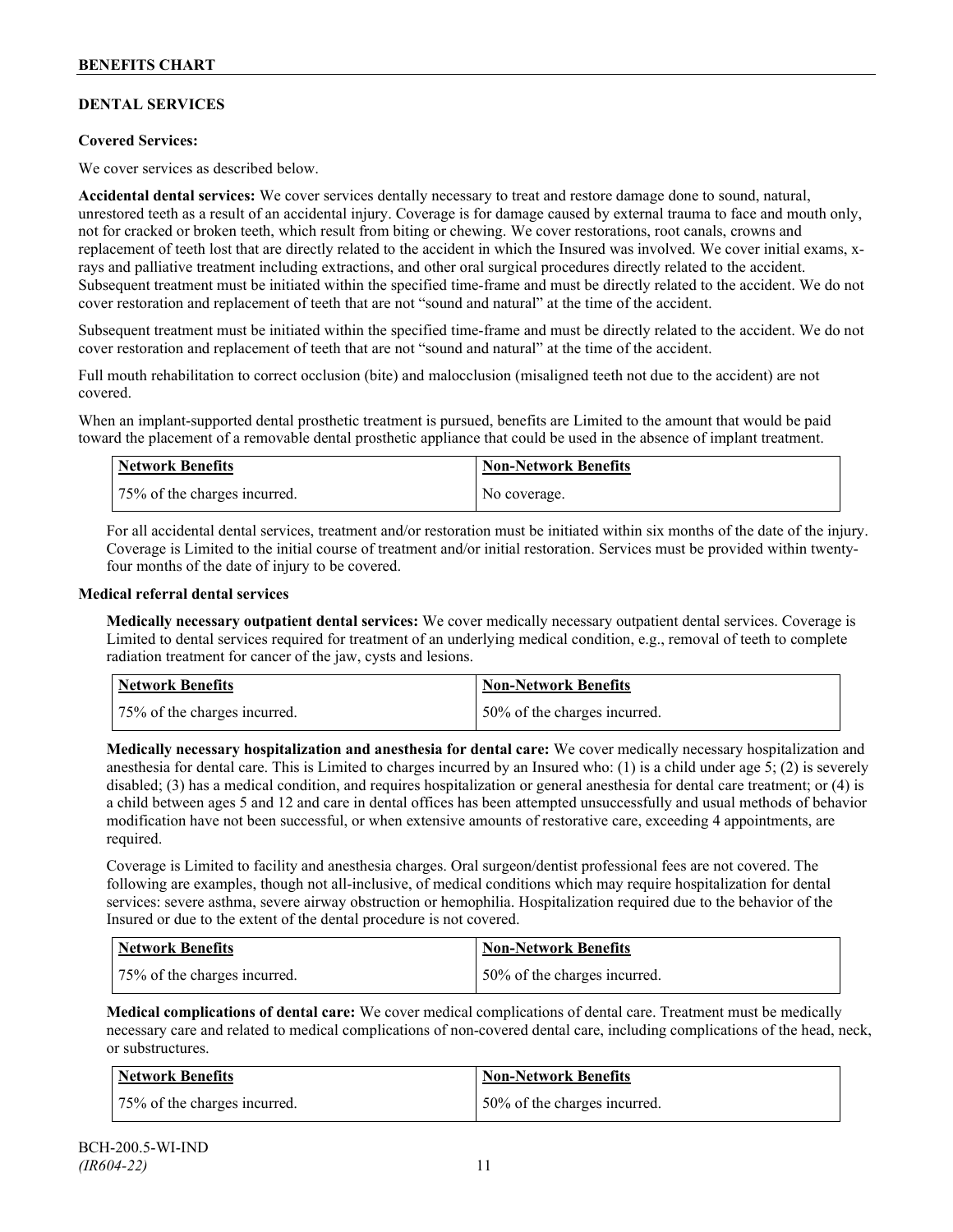## **DENTAL SERVICES**

## **Covered Services:**

We cover services as described below.

**Accidental dental services:** We cover services dentally necessary to treat and restore damage done to sound, natural, unrestored teeth as a result of an accidental injury. Coverage is for damage caused by external trauma to face and mouth only, not for cracked or broken teeth, which result from biting or chewing. We cover restorations, root canals, crowns and replacement of teeth lost that are directly related to the accident in which the Insured was involved. We cover initial exams, xrays and palliative treatment including extractions, and other oral surgical procedures directly related to the accident. Subsequent treatment must be initiated within the specified time-frame and must be directly related to the accident. We do not cover restoration and replacement of teeth that are not "sound and natural" at the time of the accident.

Subsequent treatment must be initiated within the specified time-frame and must be directly related to the accident. We do not cover restoration and replacement of teeth that are not "sound and natural" at the time of the accident.

Full mouth rehabilitation to correct occlusion (bite) and malocclusion (misaligned teeth not due to the accident) are not covered.

When an implant-supported dental prosthetic treatment is pursued, benefits are Limited to the amount that would be paid toward the placement of a removable dental prosthetic appliance that could be used in the absence of implant treatment.

| Network Benefits             | <b>Non-Network Benefits</b> |
|------------------------------|-----------------------------|
| 75% of the charges incurred. | No coverage.                |

For all accidental dental services, treatment and/or restoration must be initiated within six months of the date of the injury. Coverage is Limited to the initial course of treatment and/or initial restoration. Services must be provided within twentyfour months of the date of injury to be covered.

#### **Medical referral dental services**

**Medically necessary outpatient dental services:** We cover medically necessary outpatient dental services. Coverage is Limited to dental services required for treatment of an underlying medical condition, e.g., removal of teeth to complete radiation treatment for cancer of the jaw, cysts and lesions.

| Network Benefits             | <b>Non-Network Benefits</b>  |
|------------------------------|------------------------------|
| 75% of the charges incurred. | 50% of the charges incurred. |

**Medically necessary hospitalization and anesthesia for dental care:** We cover medically necessary hospitalization and anesthesia for dental care. This is Limited to charges incurred by an Insured who: (1) is a child under age 5; (2) is severely disabled; (3) has a medical condition, and requires hospitalization or general anesthesia for dental care treatment; or (4) is a child between ages 5 and 12 and care in dental offices has been attempted unsuccessfully and usual methods of behavior modification have not been successful, or when extensive amounts of restorative care, exceeding 4 appointments, are required.

Coverage is Limited to facility and anesthesia charges. Oral surgeon/dentist professional fees are not covered. The following are examples, though not all-inclusive, of medical conditions which may require hospitalization for dental services: severe asthma, severe airway obstruction or hemophilia. Hospitalization required due to the behavior of the Insured or due to the extent of the dental procedure is not covered.

| Network Benefits             | <b>Non-Network Benefits</b>  |
|------------------------------|------------------------------|
| 75% of the charges incurred. | 50% of the charges incurred. |

**Medical complications of dental care:** We cover medical complications of dental care. Treatment must be medically necessary care and related to medical complications of non-covered dental care, including complications of the head, neck, or substructures.

| Network Benefits             | Non-Network Benefits         |
|------------------------------|------------------------------|
| 75% of the charges incurred. | 50% of the charges incurred. |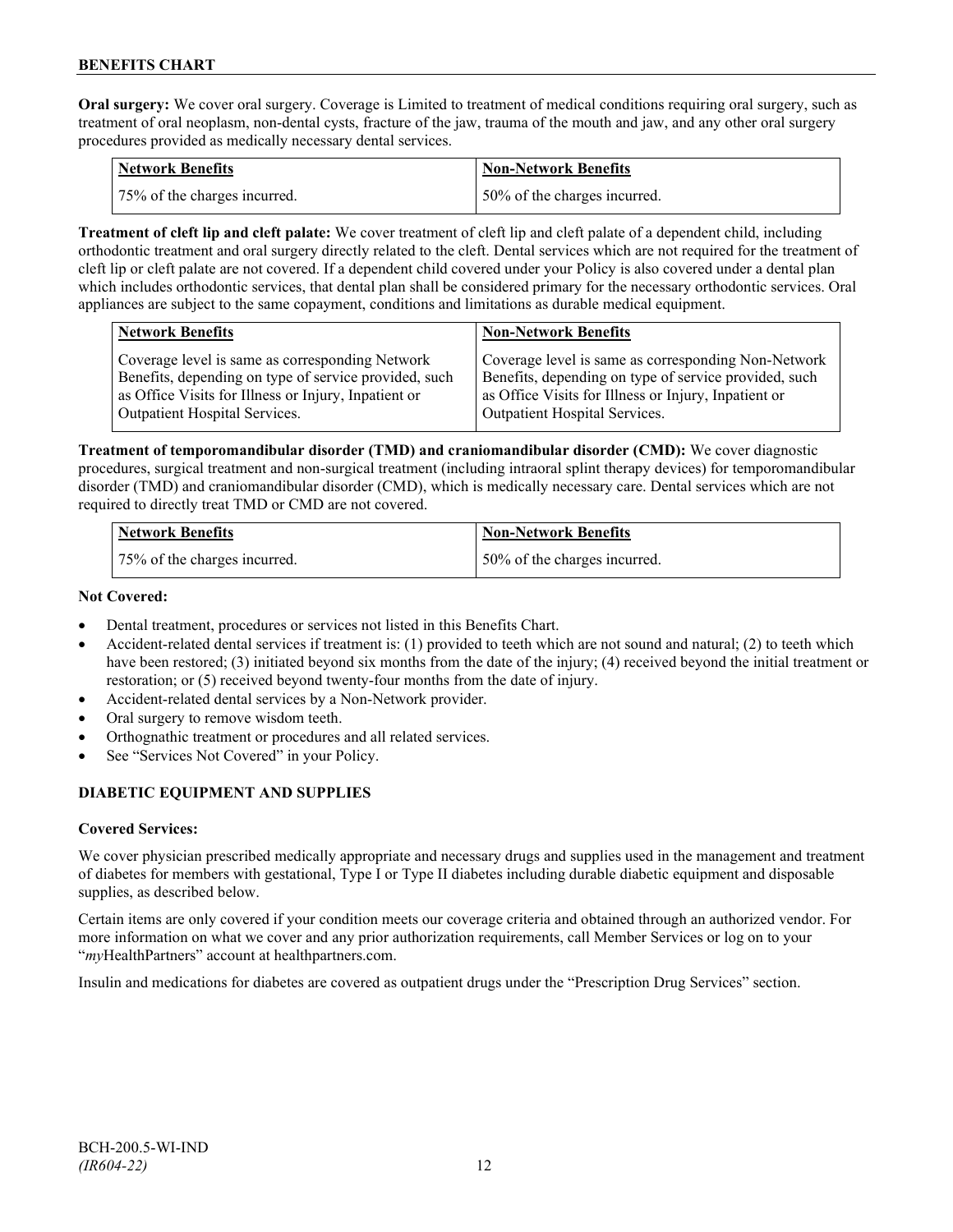**Oral surgery:** We cover oral surgery. Coverage is Limited to treatment of medical conditions requiring oral surgery, such as treatment of oral neoplasm, non-dental cysts, fracture of the jaw, trauma of the mouth and jaw, and any other oral surgery procedures provided as medically necessary dental services.

| Network Benefits             | <b>Non-Network Benefits</b>  |
|------------------------------|------------------------------|
| 75% of the charges incurred. | 50% of the charges incurred. |

**Treatment of cleft lip and cleft palate:** We cover treatment of cleft lip and cleft palate of a dependent child, including orthodontic treatment and oral surgery directly related to the cleft. Dental services which are not required for the treatment of cleft lip or cleft palate are not covered. If a dependent child covered under your Policy is also covered under a dental plan which includes orthodontic services, that dental plan shall be considered primary for the necessary orthodontic services. Oral appliances are subject to the same copayment, conditions and limitations as durable medical equipment.

| <b>Network Benefits</b>                               | <b>Non-Network Benefits</b>                           |
|-------------------------------------------------------|-------------------------------------------------------|
| Coverage level is same as corresponding Network       | Coverage level is same as corresponding Non-Network   |
| Benefits, depending on type of service provided, such | Benefits, depending on type of service provided, such |
| as Office Visits for Illness or Injury, Inpatient or  | as Office Visits for Illness or Injury, Inpatient or  |
| Outpatient Hospital Services.                         | Outpatient Hospital Services.                         |

**Treatment of temporomandibular disorder (TMD) and craniomandibular disorder (CMD):** We cover diagnostic procedures, surgical treatment and non-surgical treatment (including intraoral splint therapy devices) for temporomandibular disorder (TMD) and craniomandibular disorder (CMD), which is medically necessary care. Dental services which are not required to directly treat TMD or CMD are not covered.

| <b>Network Benefits</b>      | Non-Network Benefits         |
|------------------------------|------------------------------|
| 75% of the charges incurred. | 50% of the charges incurred. |

## **Not Covered:**

- Dental treatment, procedures or services not listed in this Benefits Chart.
- Accident-related dental services if treatment is: (1) provided to teeth which are not sound and natural; (2) to teeth which have been restored; (3) initiated beyond six months from the date of the injury; (4) received beyond the initial treatment or restoration; or (5) received beyond twenty-four months from the date of injury.
- Accident-related dental services by a Non-Network provider.
- Oral surgery to remove wisdom teeth.
- Orthognathic treatment or procedures and all related services.
- See "Services Not Covered" in your Policy.

## **DIABETIC EQUIPMENT AND SUPPLIES**

## **Covered Services:**

We cover physician prescribed medically appropriate and necessary drugs and supplies used in the management and treatment of diabetes for members with gestational, Type I or Type II diabetes including durable diabetic equipment and disposable supplies, as described below.

Certain items are only covered if your condition meets our coverage criteria and obtained through an authorized vendor. For more information on what we cover and any prior authorization requirements, call Member Services or log on to your "*my*HealthPartners" account at [healthpartners.com.](http://www.healthpartners.com/)

Insulin and medications for diabetes are covered as outpatient drugs under the "Prescription Drug Services" section.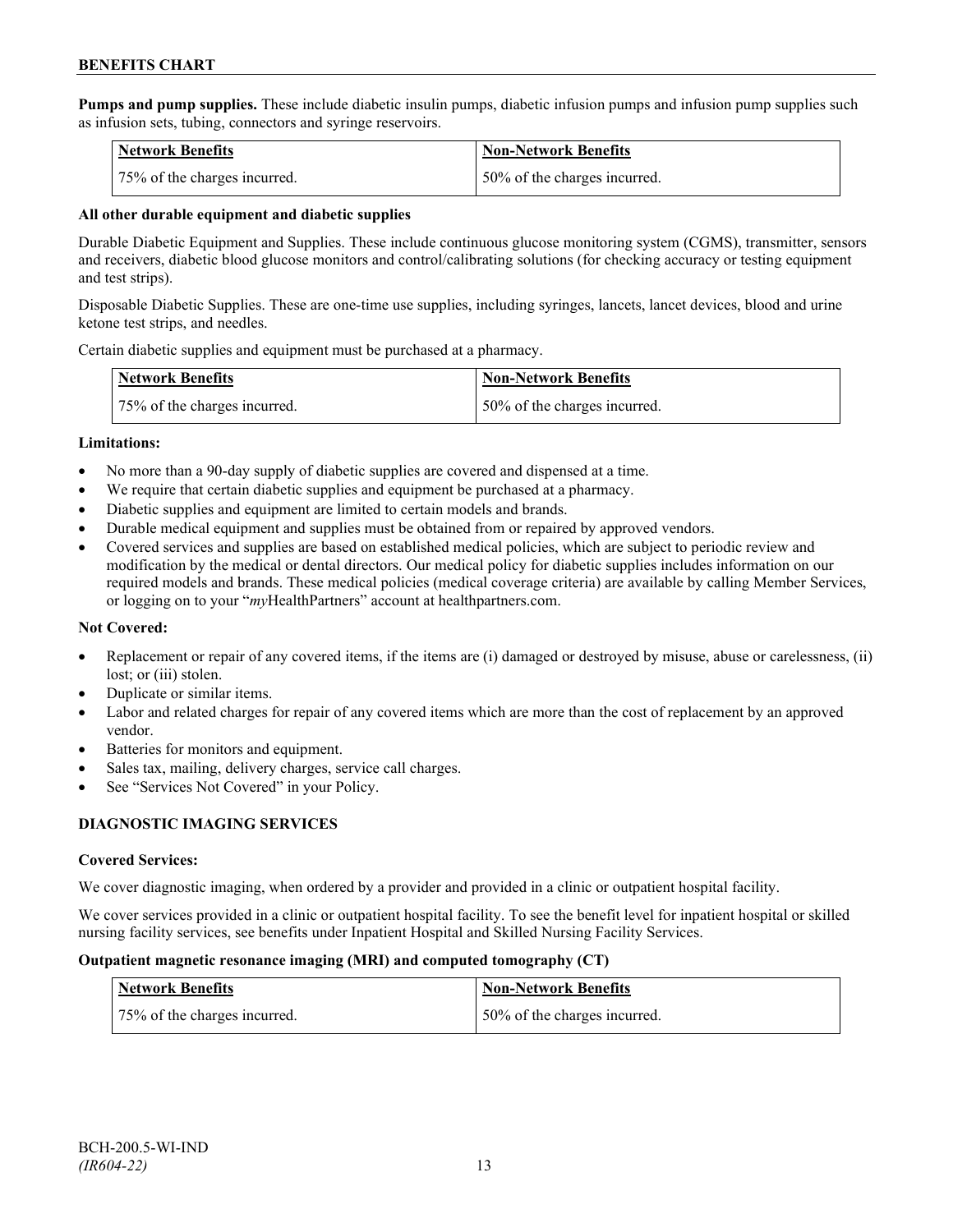**Pumps and pump supplies.** These include diabetic insulin pumps, diabetic infusion pumps and infusion pump supplies such as infusion sets, tubing, connectors and syringe reservoirs.

| <b>Network Benefits</b>      | <b>Non-Network Benefits</b>  |
|------------------------------|------------------------------|
| 75% of the charges incurred. | 50% of the charges incurred. |

#### **All other durable equipment and diabetic supplies**

Durable Diabetic Equipment and Supplies. These include continuous glucose monitoring system (CGMS), transmitter, sensors and receivers, diabetic blood glucose monitors and control/calibrating solutions (for checking accuracy or testing equipment and test strips).

Disposable Diabetic Supplies. These are one-time use supplies, including syringes, lancets, lancet devices, blood and urine ketone test strips, and needles.

Certain diabetic supplies and equipment must be purchased at a pharmacy.

| <b>Network Benefits</b>      | <b>Non-Network Benefits</b>  |
|------------------------------|------------------------------|
| 75% of the charges incurred. | 50% of the charges incurred. |

#### **Limitations:**

- No more than a 90-day supply of diabetic supplies are covered and dispensed at a time.
- We require that certain diabetic supplies and equipment be purchased at a pharmacy.
- Diabetic supplies and equipment are limited to certain models and brands.
- Durable medical equipment and supplies must be obtained from or repaired by approved vendors.
- Covered services and supplies are based on established medical policies, which are subject to periodic review and modification by the medical or dental directors. Our medical policy for diabetic supplies includes information on our required models and brands. These medical policies (medical coverage criteria) are available by calling Member Services, or logging on to your "*my*HealthPartners" account at healthpartners.com.

## **Not Covered:**

- Replacement or repair of any covered items, if the items are (i) damaged or destroyed by misuse, abuse or carelessness, (ii) lost; or (iii) stolen.
- Duplicate or similar items.
- Labor and related charges for repair of any covered items which are more than the cost of replacement by an approved vendor.
- Batteries for monitors and equipment.
- Sales tax, mailing, delivery charges, service call charges.
- See "Services Not Covered" in your Policy.

## **DIAGNOSTIC IMAGING SERVICES**

## **Covered Services:**

We cover diagnostic imaging, when ordered by a provider and provided in a clinic or outpatient hospital facility.

We cover services provided in a clinic or outpatient hospital facility. To see the benefit level for inpatient hospital or skilled nursing facility services, see benefits under Inpatient Hospital and Skilled Nursing Facility Services.

#### **Outpatient magnetic resonance imaging (MRI) and computed tomography (CT)**

| Network Benefits             | <b>Non-Network Benefits</b>  |
|------------------------------|------------------------------|
| 75% of the charges incurred. | 50% of the charges incurred. |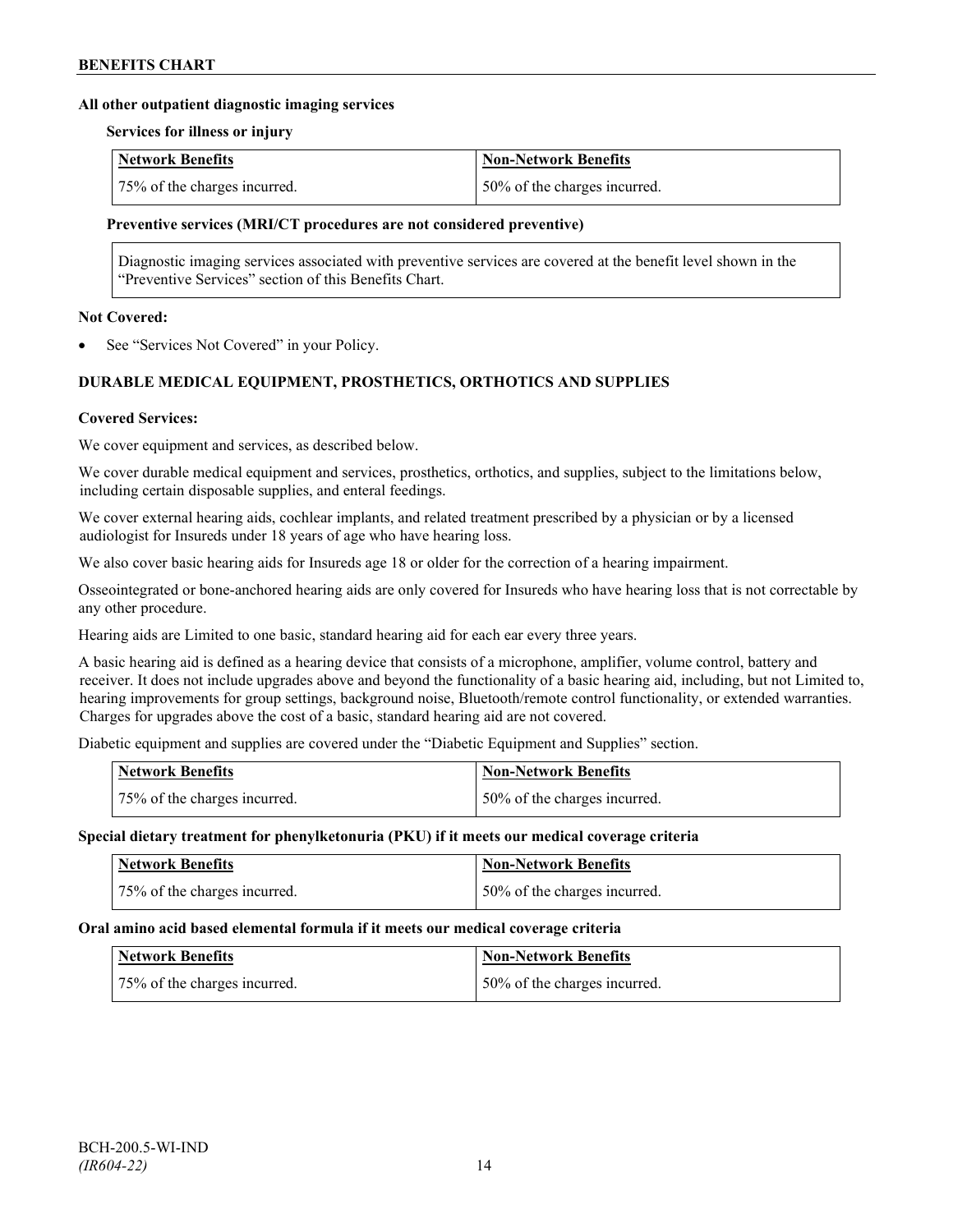#### **All other outpatient diagnostic imaging services**

#### **Services for illness or injury**

| <b>Network Benefits</b>      | Non-Network Benefits          |
|------------------------------|-------------------------------|
| 75% of the charges incurred. | 150% of the charges incurred. |

#### **Preventive services (MRI/CT procedures are not considered preventive)**

Diagnostic imaging services associated with preventive services are covered at the benefit level shown in the "Preventive Services" section of this Benefits Chart.

#### **Not Covered:**

See "Services Not Covered" in your Policy.

## **DURABLE MEDICAL EQUIPMENT, PROSTHETICS, ORTHOTICS AND SUPPLIES**

#### **Covered Services:**

We cover equipment and services, as described below.

We cover durable medical equipment and services, prosthetics, orthotics, and supplies, subject to the limitations below, including certain disposable supplies, and enteral feedings.

We cover external hearing aids, cochlear implants, and related treatment prescribed by a physician or by a licensed audiologist for Insureds under 18 years of age who have hearing loss.

We also cover basic hearing aids for Insureds age 18 or older for the correction of a hearing impairment.

Osseointegrated or bone-anchored hearing aids are only covered for Insureds who have hearing loss that is not correctable by any other procedure.

Hearing aids are Limited to one basic, standard hearing aid for each ear every three years.

A basic hearing aid is defined as a hearing device that consists of a microphone, amplifier, volume control, battery and receiver. It does not include upgrades above and beyond the functionality of a basic hearing aid, including, but not Limited to, hearing improvements for group settings, background noise, Bluetooth/remote control functionality, or extended warranties. Charges for upgrades above the cost of a basic, standard hearing aid are not covered.

Diabetic equipment and supplies are covered under the "Diabetic Equipment and Supplies" section.

| Network Benefits             | Non-Network Benefits         |
|------------------------------|------------------------------|
| 75% of the charges incurred. | 50% of the charges incurred. |

#### **Special dietary treatment for phenylketonuria (PKU) if it meets our medical coverage criteria**

| <b>Network Benefits</b>      | <b>Non-Network Benefits</b>  |
|------------------------------|------------------------------|
| 75% of the charges incurred. | 50% of the charges incurred. |

#### **Oral amino acid based elemental formula if it meets our medical coverage criteria**

| <b>Network Benefits</b>      | <b>Non-Network Benefits</b>  |
|------------------------------|------------------------------|
| 75% of the charges incurred. | 50% of the charges incurred. |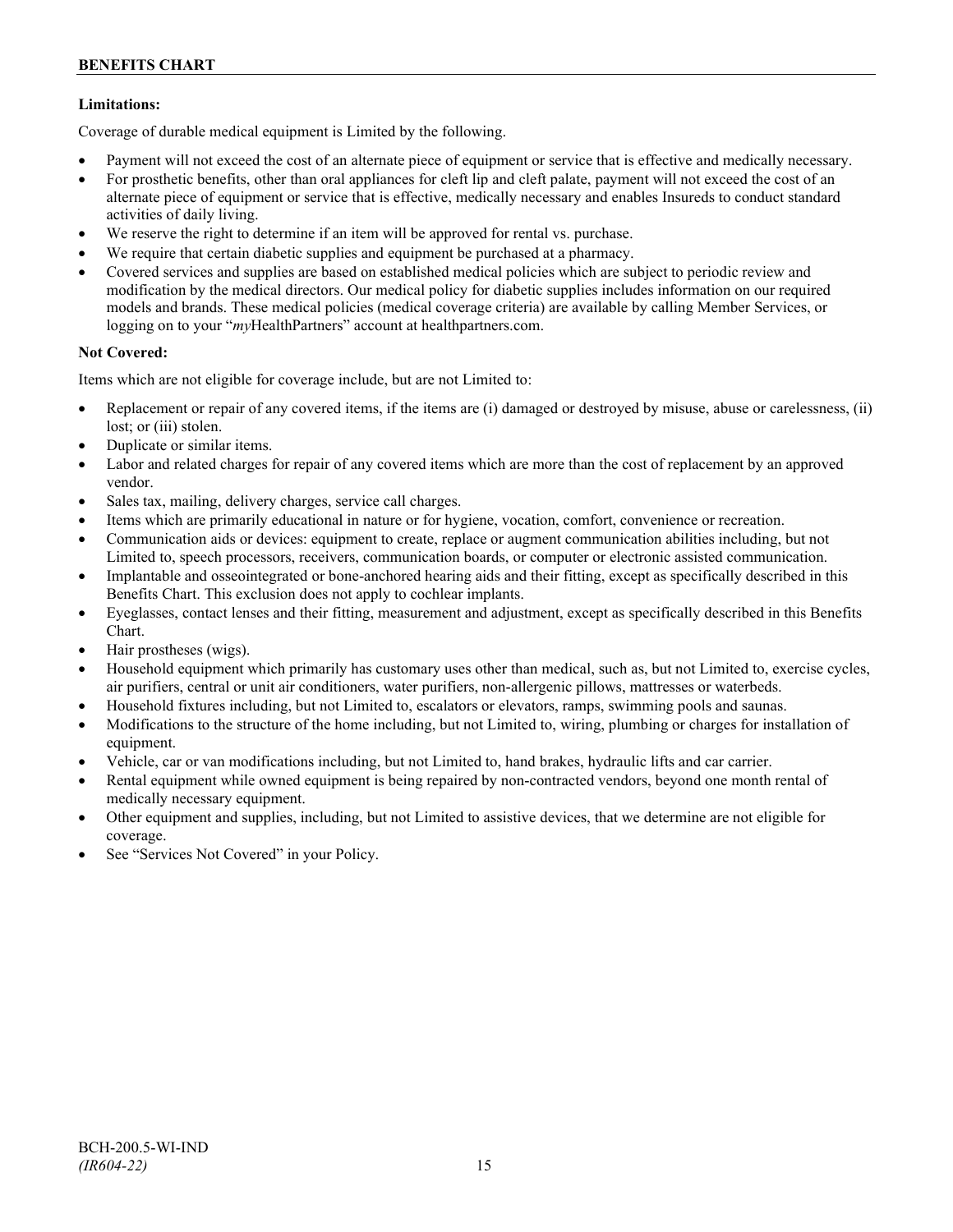## **Limitations:**

Coverage of durable medical equipment is Limited by the following.

- Payment will not exceed the cost of an alternate piece of equipment or service that is effective and medically necessary.
- For prosthetic benefits, other than oral appliances for cleft lip and cleft palate, payment will not exceed the cost of an alternate piece of equipment or service that is effective, medically necessary and enables Insureds to conduct standard activities of daily living.
- We reserve the right to determine if an item will be approved for rental vs. purchase.
- We require that certain diabetic supplies and equipment be purchased at a pharmacy.
- Covered services and supplies are based on established medical policies which are subject to periodic review and modification by the medical directors. Our medical policy for diabetic supplies includes information on our required models and brands. These medical policies (medical coverage criteria) are available by calling Member Services, or logging on to your "*my*HealthPartners" account at [healthpartners.com.](http://www.healthpartners.com/)

## **Not Covered:**

Items which are not eligible for coverage include, but are not Limited to:

- Replacement or repair of any covered items, if the items are (i) damaged or destroyed by misuse, abuse or carelessness, (ii) lost; or (iii) stolen.
- Duplicate or similar items.
- Labor and related charges for repair of any covered items which are more than the cost of replacement by an approved vendor.
- Sales tax, mailing, delivery charges, service call charges.
- Items which are primarily educational in nature or for hygiene, vocation, comfort, convenience or recreation.
- Communication aids or devices: equipment to create, replace or augment communication abilities including, but not Limited to, speech processors, receivers, communication boards, or computer or electronic assisted communication.
- Implantable and osseointegrated or bone-anchored hearing aids and their fitting, except as specifically described in this Benefits Chart. This exclusion does not apply to cochlear implants.
- Eyeglasses, contact lenses and their fitting, measurement and adjustment, except as specifically described in this Benefits Chart.
- Hair prostheses (wigs).
- Household equipment which primarily has customary uses other than medical, such as, but not Limited to, exercise cycles, air purifiers, central or unit air conditioners, water purifiers, non-allergenic pillows, mattresses or waterbeds.
- Household fixtures including, but not Limited to, escalators or elevators, ramps, swimming pools and saunas.
- Modifications to the structure of the home including, but not Limited to, wiring, plumbing or charges for installation of equipment.
- Vehicle, car or van modifications including, but not Limited to, hand brakes, hydraulic lifts and car carrier.
- Rental equipment while owned equipment is being repaired by non-contracted vendors, beyond one month rental of medically necessary equipment.
- Other equipment and supplies, including, but not Limited to assistive devices, that we determine are not eligible for coverage.
- See "Services Not Covered" in your Policy.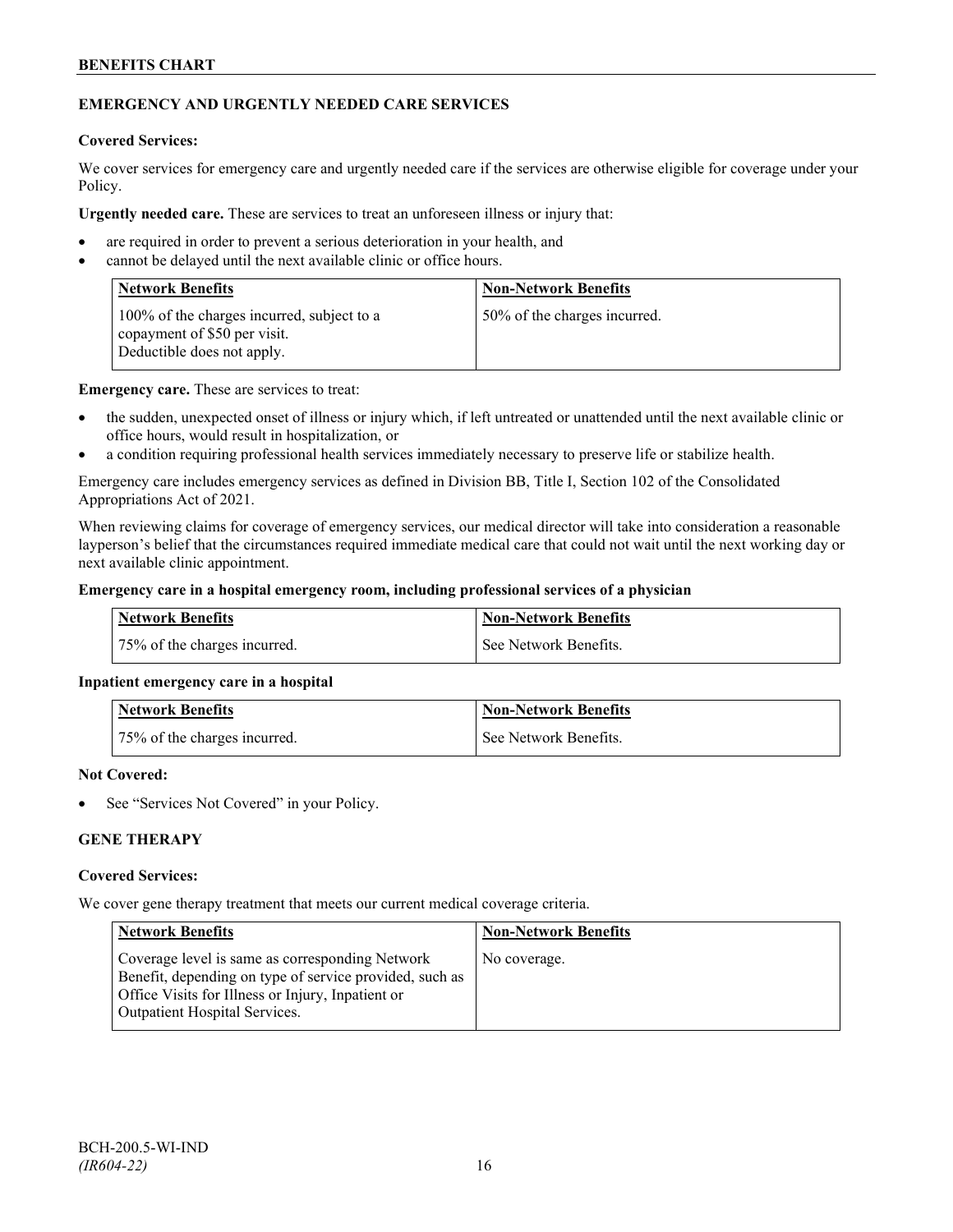## **EMERGENCY AND URGENTLY NEEDED CARE SERVICES**

#### **Covered Services:**

We cover services for emergency care and urgently needed care if the services are otherwise eligible for coverage under your Policy.

**Urgently needed care.** These are services to treat an unforeseen illness or injury that:

- are required in order to prevent a serious deterioration in your health, and
- cannot be delayed until the next available clinic or office hours.

| <b>Network Benefits</b>                                                                                  | <b>Non-Network Benefits</b>  |
|----------------------------------------------------------------------------------------------------------|------------------------------|
| 100% of the charges incurred, subject to a<br>copayment of \$50 per visit.<br>Deductible does not apply. | 50% of the charges incurred. |

**Emergency care.** These are services to treat:

- the sudden, unexpected onset of illness or injury which, if left untreated or unattended until the next available clinic or office hours, would result in hospitalization, or
- a condition requiring professional health services immediately necessary to preserve life or stabilize health.

Emergency care includes emergency services as defined in Division BB, Title I, Section 102 of the Consolidated Appropriations Act of 2021.

When reviewing claims for coverage of emergency services, our medical director will take into consideration a reasonable layperson's belief that the circumstances required immediate medical care that could not wait until the next working day or next available clinic appointment.

#### **Emergency care in a hospital emergency room, including professional services of a physician**

| Network Benefits             | <b>Non-Network Benefits</b> |
|------------------------------|-----------------------------|
| 75% of the charges incurred. | See Network Benefits.       |

## **Inpatient emergency care in a hospital**

| <b>Network Benefits</b>      | <b>Non-Network Benefits</b> |
|------------------------------|-----------------------------|
| 75% of the charges incurred. | l See Network Benefits.     |

#### **Not Covered:**

See "Services Not Covered" in your Policy.

## **GENE THERAPY**

#### **Covered Services:**

We cover gene therapy treatment that meets our current medical coverage criteria.

| <b>Network Benefits</b>                                                                                                                                                                                 | <b>Non-Network Benefits</b> |
|---------------------------------------------------------------------------------------------------------------------------------------------------------------------------------------------------------|-----------------------------|
| Coverage level is same as corresponding Network<br>Benefit, depending on type of service provided, such as<br>Office Visits for Illness or Injury, Inpatient or<br><b>Outpatient Hospital Services.</b> | No coverage.                |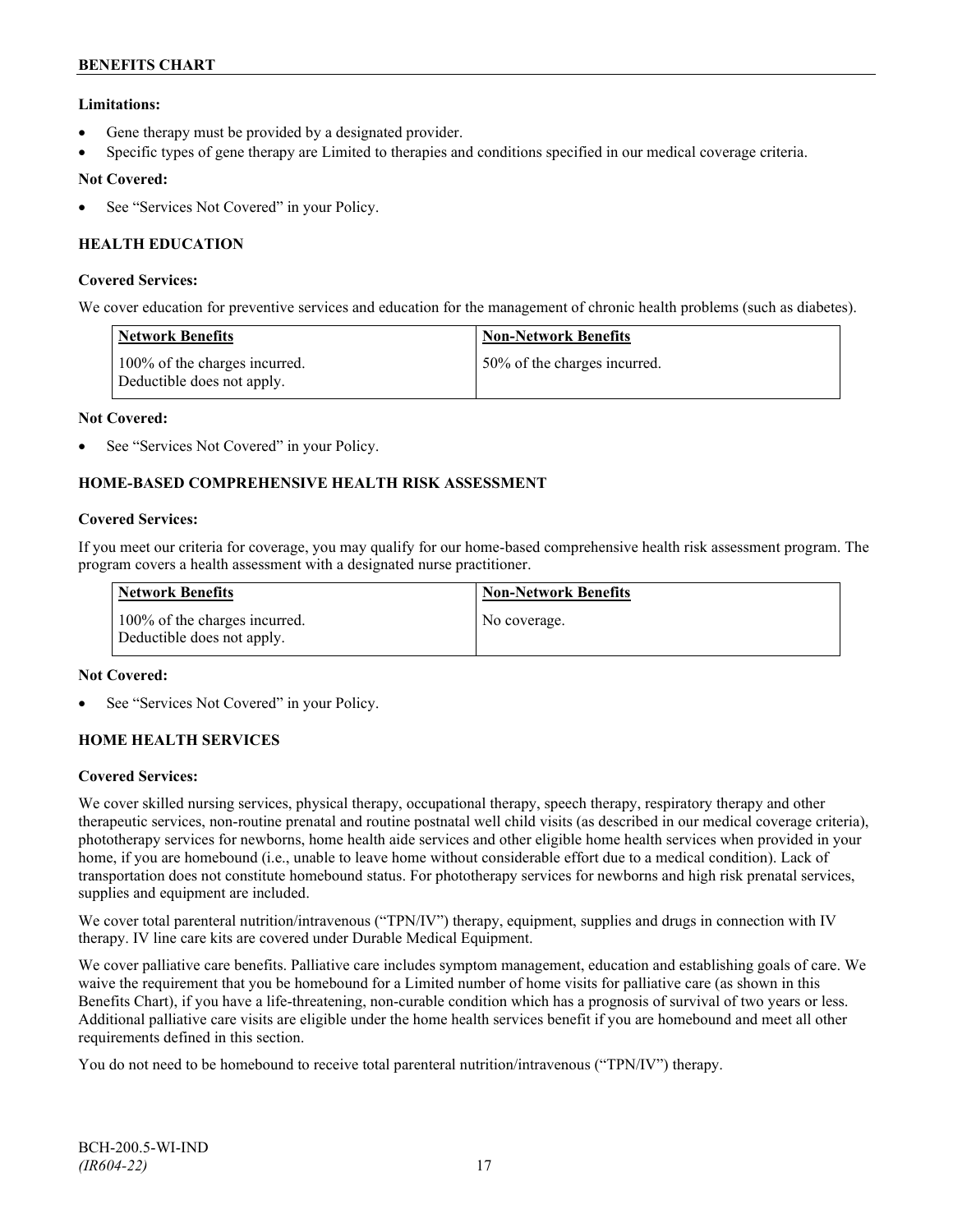## **Limitations:**

- Gene therapy must be provided by a designated provider.
- Specific types of gene therapy are Limited to therapies and conditions specified in our medical coverage criteria.

## **Not Covered:**

See "Services Not Covered" in your Policy.

## **HEALTH EDUCATION**

#### **Covered Services:**

We cover education for preventive services and education for the management of chronic health problems (such as diabetes).

| <b>Network Benefits</b>                                     | <b>Non-Network Benefits</b>  |
|-------------------------------------------------------------|------------------------------|
| 100% of the charges incurred.<br>Deductible does not apply. | 50% of the charges incurred. |

#### **Not Covered:**

See "Services Not Covered" in your Policy.

## **HOME-BASED COMPREHENSIVE HEALTH RISK ASSESSMENT**

#### **Covered Services:**

If you meet our criteria for coverage, you may qualify for our home-based comprehensive health risk assessment program. The program covers a health assessment with a designated nurse practitioner.

| <b>Network Benefits</b>                                     | <b>Non-Network Benefits</b> |
|-------------------------------------------------------------|-----------------------------|
| 100% of the charges incurred.<br>Deductible does not apply. | No coverage.                |

#### **Not Covered:**

See "Services Not Covered" in your Policy.

## **HOME HEALTH SERVICES**

#### **Covered Services:**

We cover skilled nursing services, physical therapy, occupational therapy, speech therapy, respiratory therapy and other therapeutic services, non-routine prenatal and routine postnatal well child visits (as described in our medical coverage criteria), phototherapy services for newborns, home health aide services and other eligible home health services when provided in your home, if you are homebound (i.e., unable to leave home without considerable effort due to a medical condition). Lack of transportation does not constitute homebound status. For phototherapy services for newborns and high risk prenatal services, supplies and equipment are included.

We cover total parenteral nutrition/intravenous ("TPN/IV") therapy, equipment, supplies and drugs in connection with IV therapy. IV line care kits are covered under Durable Medical Equipment.

We cover palliative care benefits. Palliative care includes symptom management, education and establishing goals of care. We waive the requirement that you be homebound for a Limited number of home visits for palliative care (as shown in this Benefits Chart), if you have a life-threatening, non-curable condition which has a prognosis of survival of two years or less. Additional palliative care visits are eligible under the home health services benefit if you are homebound and meet all other requirements defined in this section.

You do not need to be homebound to receive total parenteral nutrition/intravenous ("TPN/IV") therapy.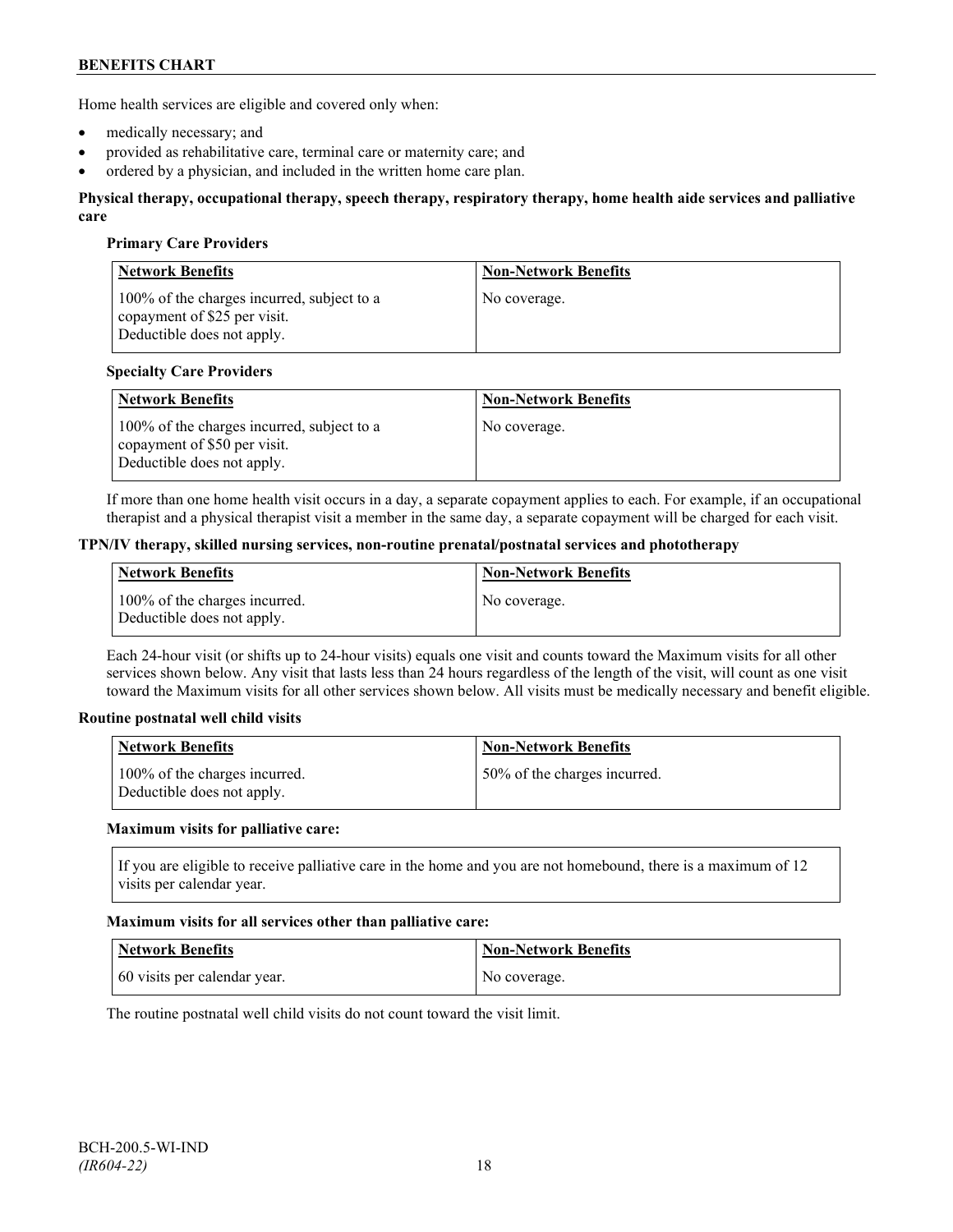Home health services are eligible and covered only when:

- medically necessary; and
- provided as rehabilitative care, terminal care or maternity care; and
- ordered by a physician, and included in the written home care plan.

#### **Physical therapy, occupational therapy, speech therapy, respiratory therapy, home health aide services and palliative care**

#### **Primary Care Providers**

| <b>Network Benefits</b>                                                                                  | <b>Non-Network Benefits</b> |
|----------------------------------------------------------------------------------------------------------|-----------------------------|
| 100% of the charges incurred, subject to a<br>copayment of \$25 per visit.<br>Deductible does not apply. | No coverage.                |

#### **Specialty Care Providers**

| <b>Network Benefits</b>                                                                                  | <b>Non-Network Benefits</b> |
|----------------------------------------------------------------------------------------------------------|-----------------------------|
| 100% of the charges incurred, subject to a<br>copayment of \$50 per visit.<br>Deductible does not apply. | No coverage.                |

If more than one home health visit occurs in a day, a separate copayment applies to each. For example, if an occupational therapist and a physical therapist visit a member in the same day, a separate copayment will be charged for each visit.

#### **TPN/IV therapy, skilled nursing services, non-routine prenatal/postnatal services and phototherapy**

| Network Benefits                                            | <b>Non-Network Benefits</b> |
|-------------------------------------------------------------|-----------------------------|
| 100% of the charges incurred.<br>Deductible does not apply. | No coverage.                |

Each 24-hour visit (or shifts up to 24-hour visits) equals one visit and counts toward the Maximum visits for all other services shown below. Any visit that lasts less than 24 hours regardless of the length of the visit, will count as one visit toward the Maximum visits for all other services shown below. All visits must be medically necessary and benefit eligible.

#### **Routine postnatal well child visits**

| Network Benefits                                            | <b>Non-Network Benefits</b>  |
|-------------------------------------------------------------|------------------------------|
| 100% of the charges incurred.<br>Deductible does not apply. | 50% of the charges incurred. |

#### **Maximum visits for palliative care:**

If you are eligible to receive palliative care in the home and you are not homebound, there is a maximum of 12 visits per calendar year.

#### **Maximum visits for all services other than palliative care:**

| Network Benefits             | Non-Network Benefits |
|------------------------------|----------------------|
| 60 visits per calendar year. | No coverage.         |

The routine postnatal well child visits do not count toward the visit limit.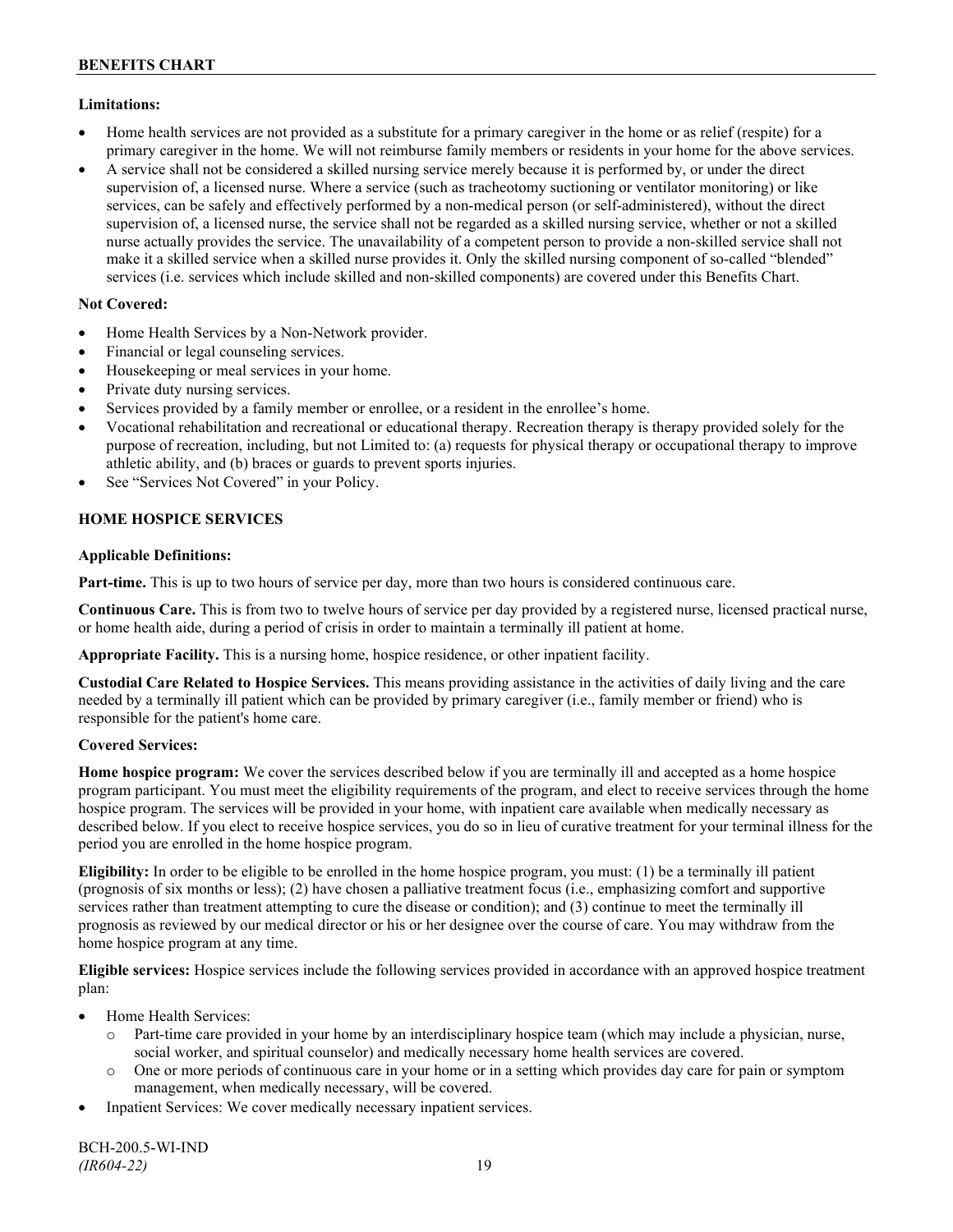## **Limitations:**

- Home health services are not provided as a substitute for a primary caregiver in the home or as relief (respite) for a primary caregiver in the home. We will not reimburse family members or residents in your home for the above services.
- A service shall not be considered a skilled nursing service merely because it is performed by, or under the direct supervision of, a licensed nurse. Where a service (such as tracheotomy suctioning or ventilator monitoring) or like services, can be safely and effectively performed by a non-medical person (or self-administered), without the direct supervision of, a licensed nurse, the service shall not be regarded as a skilled nursing service, whether or not a skilled nurse actually provides the service. The unavailability of a competent person to provide a non-skilled service shall not make it a skilled service when a skilled nurse provides it. Only the skilled nursing component of so-called "blended" services (i.e. services which include skilled and non-skilled components) are covered under this Benefits Chart.

## **Not Covered:**

- Home Health Services by a Non-Network provider.
- Financial or legal counseling services.
- Housekeeping or meal services in your home.
- Private duty nursing services.
- Services provided by a family member or enrollee, or a resident in the enrollee's home.
- Vocational rehabilitation and recreational or educational therapy. Recreation therapy is therapy provided solely for the purpose of recreation, including, but not Limited to: (a) requests for physical therapy or occupational therapy to improve athletic ability, and (b) braces or guards to prevent sports injuries.
- See "Services Not Covered" in your Policy.

## **HOME HOSPICE SERVICES**

## **Applicable Definitions:**

**Part-time.** This is up to two hours of service per day, more than two hours is considered continuous care.

**Continuous Care.** This is from two to twelve hours of service per day provided by a registered nurse, licensed practical nurse, or home health aide, during a period of crisis in order to maintain a terminally ill patient at home.

**Appropriate Facility.** This is a nursing home, hospice residence, or other inpatient facility.

**Custodial Care Related to Hospice Services.** This means providing assistance in the activities of daily living and the care needed by a terminally ill patient which can be provided by primary caregiver (i.e., family member or friend) who is responsible for the patient's home care.

## **Covered Services:**

**Home hospice program:** We cover the services described below if you are terminally ill and accepted as a home hospice program participant. You must meet the eligibility requirements of the program, and elect to receive services through the home hospice program. The services will be provided in your home, with inpatient care available when medically necessary as described below. If you elect to receive hospice services, you do so in lieu of curative treatment for your terminal illness for the period you are enrolled in the home hospice program.

**Eligibility:** In order to be eligible to be enrolled in the home hospice program, you must: (1) be a terminally ill patient (prognosis of six months or less); (2) have chosen a palliative treatment focus (i.e., emphasizing comfort and supportive services rather than treatment attempting to cure the disease or condition); and (3) continue to meet the terminally ill prognosis as reviewed by our medical director or his or her designee over the course of care. You may withdraw from the home hospice program at any time.

**Eligible services:** Hospice services include the following services provided in accordance with an approved hospice treatment plan:

- Home Health Services:
	- o Part-time care provided in your home by an interdisciplinary hospice team (which may include a physician, nurse, social worker, and spiritual counselor) and medically necessary home health services are covered.
	- o One or more periods of continuous care in your home or in a setting which provides day care for pain or symptom management, when medically necessary, will be covered.
- Inpatient Services: We cover medically necessary inpatient services.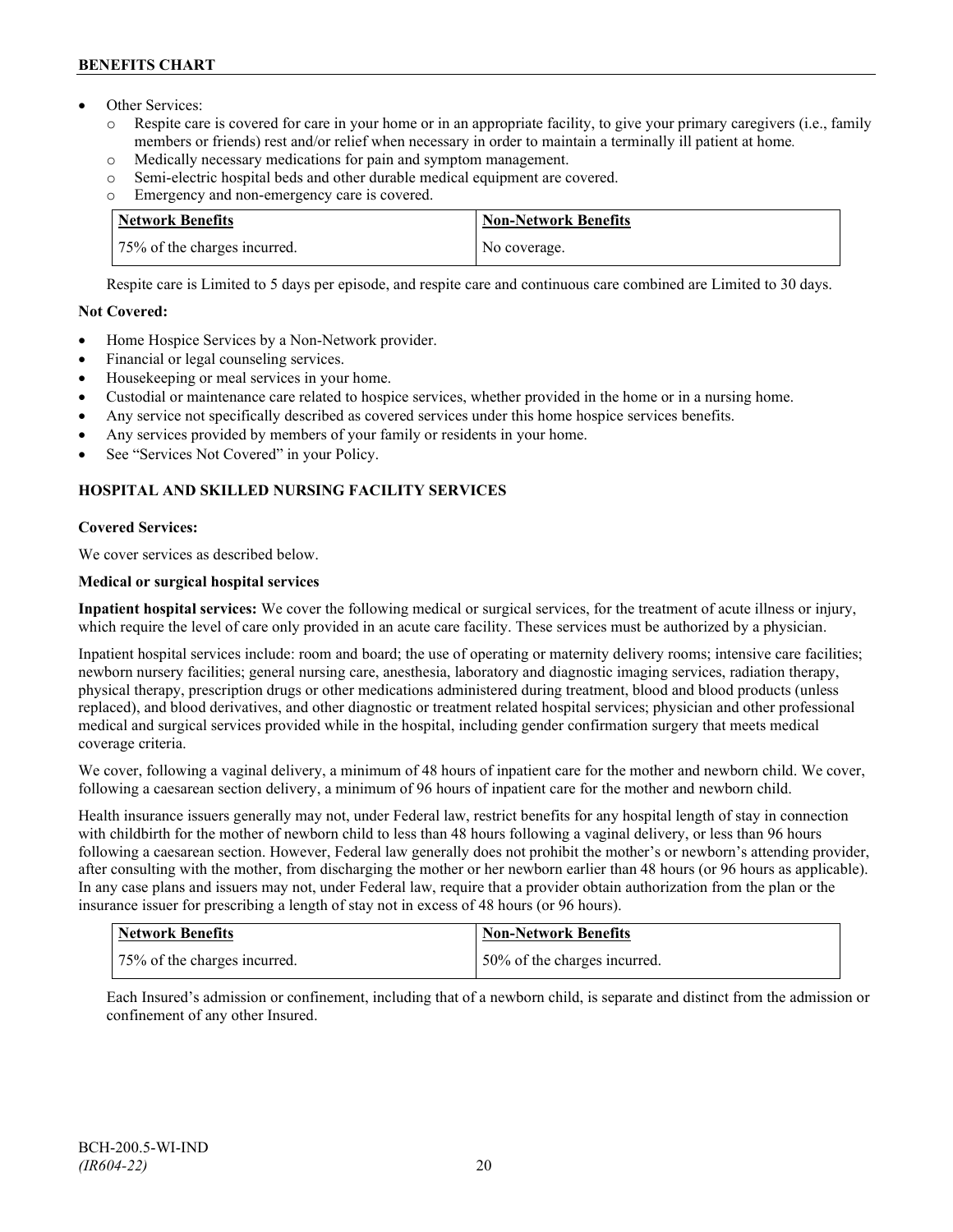- Other Services:
	- o Respite care is covered for care in your home or in an appropriate facility, to give your primary caregivers (i.e., family members or friends) rest and/or relief when necessary in order to maintain a terminally ill patient at home*.*
	- o Medically necessary medications for pain and symptom management.
	- o Semi-electric hospital beds and other durable medical equipment are covered.
	- o Emergency and non-emergency care is covered.

| Network Benefits             | <b>Non-Network Benefits</b> |
|------------------------------|-----------------------------|
| 75% of the charges incurred. | No coverage.                |

Respite care is Limited to 5 days per episode, and respite care and continuous care combined are Limited to 30 days.

## **Not Covered:**

- Home Hospice Services by a Non-Network provider.
- Financial or legal counseling services.
- Housekeeping or meal services in your home.
- Custodial or maintenance care related to hospice services, whether provided in the home or in a nursing home.
- Any service not specifically described as covered services under this home hospice services benefits.
- Any services provided by members of your family or residents in your home.
- See "Services Not Covered" in your Policy.

## **HOSPITAL AND SKILLED NURSING FACILITY SERVICES**

## **Covered Services:**

We cover services as described below.

## **Medical or surgical hospital services**

**Inpatient hospital services:** We cover the following medical or surgical services, for the treatment of acute illness or injury, which require the level of care only provided in an acute care facility. These services must be authorized by a physician.

Inpatient hospital services include: room and board; the use of operating or maternity delivery rooms; intensive care facilities; newborn nursery facilities; general nursing care, anesthesia, laboratory and diagnostic imaging services, radiation therapy, physical therapy, prescription drugs or other medications administered during treatment, blood and blood products (unless replaced), and blood derivatives, and other diagnostic or treatment related hospital services; physician and other professional medical and surgical services provided while in the hospital, including gender confirmation surgery that meets medical coverage criteria.

We cover, following a vaginal delivery, a minimum of 48 hours of inpatient care for the mother and newborn child. We cover, following a caesarean section delivery, a minimum of 96 hours of inpatient care for the mother and newborn child.

Health insurance issuers generally may not, under Federal law, restrict benefits for any hospital length of stay in connection with childbirth for the mother of newborn child to less than 48 hours following a vaginal delivery, or less than 96 hours following a caesarean section. However, Federal law generally does not prohibit the mother's or newborn's attending provider, after consulting with the mother, from discharging the mother or her newborn earlier than 48 hours (or 96 hours as applicable). In any case plans and issuers may not, under Federal law, require that a provider obtain authorization from the plan or the insurance issuer for prescribing a length of stay not in excess of 48 hours (or 96 hours).

| Network Benefits             | Non-Network Benefits         |
|------------------------------|------------------------------|
| 75% of the charges incurred. | 50% of the charges incurred. |

Each Insured's admission or confinement, including that of a newborn child, is separate and distinct from the admission or confinement of any other Insured.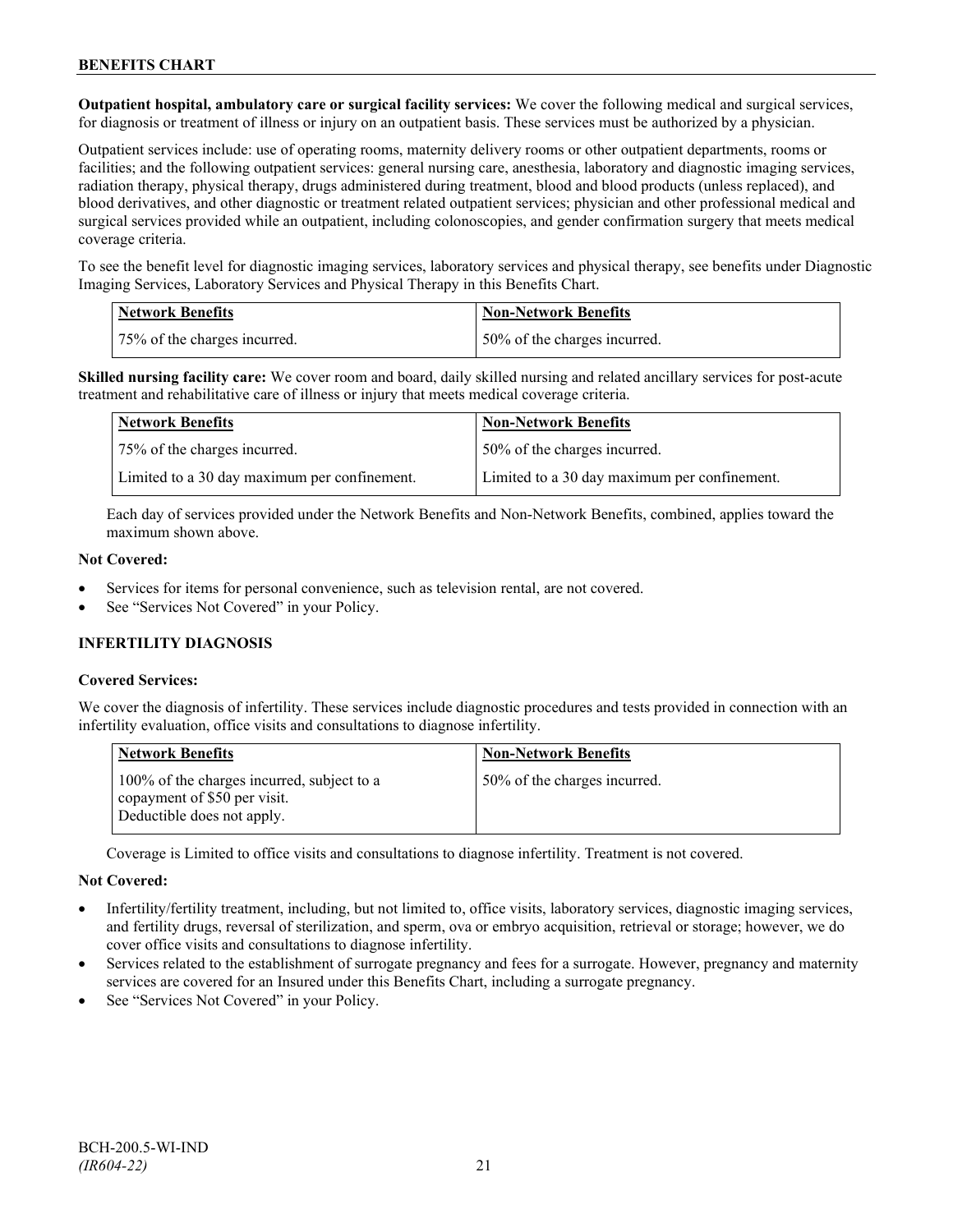**Outpatient hospital, ambulatory care or surgical facility services:** We cover the following medical and surgical services, for diagnosis or treatment of illness or injury on an outpatient basis. These services must be authorized by a physician.

Outpatient services include: use of operating rooms, maternity delivery rooms or other outpatient departments, rooms or facilities; and the following outpatient services: general nursing care, anesthesia, laboratory and diagnostic imaging services, radiation therapy, physical therapy, drugs administered during treatment, blood and blood products (unless replaced), and blood derivatives, and other diagnostic or treatment related outpatient services; physician and other professional medical and surgical services provided while an outpatient, including colonoscopies, and gender confirmation surgery that meets medical coverage criteria.

To see the benefit level for diagnostic imaging services, laboratory services and physical therapy, see benefits under Diagnostic Imaging Services, Laboratory Services and Physical Therapy in this Benefits Chart.

| <b>Network Benefits</b>      | <b>Non-Network Benefits</b>  |
|------------------------------|------------------------------|
| 75% of the charges incurred. | 50% of the charges incurred. |

**Skilled nursing facility care:** We cover room and board, daily skilled nursing and related ancillary services for post-acute treatment and rehabilitative care of illness or injury that meets medical coverage criteria.

| Network Benefits                             | <b>Non-Network Benefits</b>                  |
|----------------------------------------------|----------------------------------------------|
| 75% of the charges incurred.                 | 50% of the charges incurred.                 |
| Limited to a 30 day maximum per confinement. | Limited to a 30 day maximum per confinement. |

Each day of services provided under the Network Benefits and Non-Network Benefits, combined, applies toward the maximum shown above.

#### **Not Covered:**

- Services for items for personal convenience, such as television rental, are not covered.
- See "Services Not Covered" in your Policy.

## **INFERTILITY DIAGNOSIS**

## **Covered Services:**

We cover the diagnosis of infertility. These services include diagnostic procedures and tests provided in connection with an infertility evaluation, office visits and consultations to diagnose infertility.

| <b>Network Benefits</b>                                                                                  | <b>Non-Network Benefits</b>  |
|----------------------------------------------------------------------------------------------------------|------------------------------|
| 100% of the charges incurred, subject to a<br>copayment of \$50 per visit.<br>Deductible does not apply. | 50% of the charges incurred. |

Coverage is Limited to office visits and consultations to diagnose infertility. Treatment is not covered.

## **Not Covered:**

- Infertility/fertility treatment, including, but not limited to, office visits, laboratory services, diagnostic imaging services, and fertility drugs, reversal of sterilization, and sperm, ova or embryo acquisition, retrieval or storage; however, we do cover office visits and consultations to diagnose infertility.
- Services related to the establishment of surrogate pregnancy and fees for a surrogate. However, pregnancy and maternity services are covered for an Insured under this Benefits Chart, including a surrogate pregnancy.
- See "Services Not Covered" in your Policy.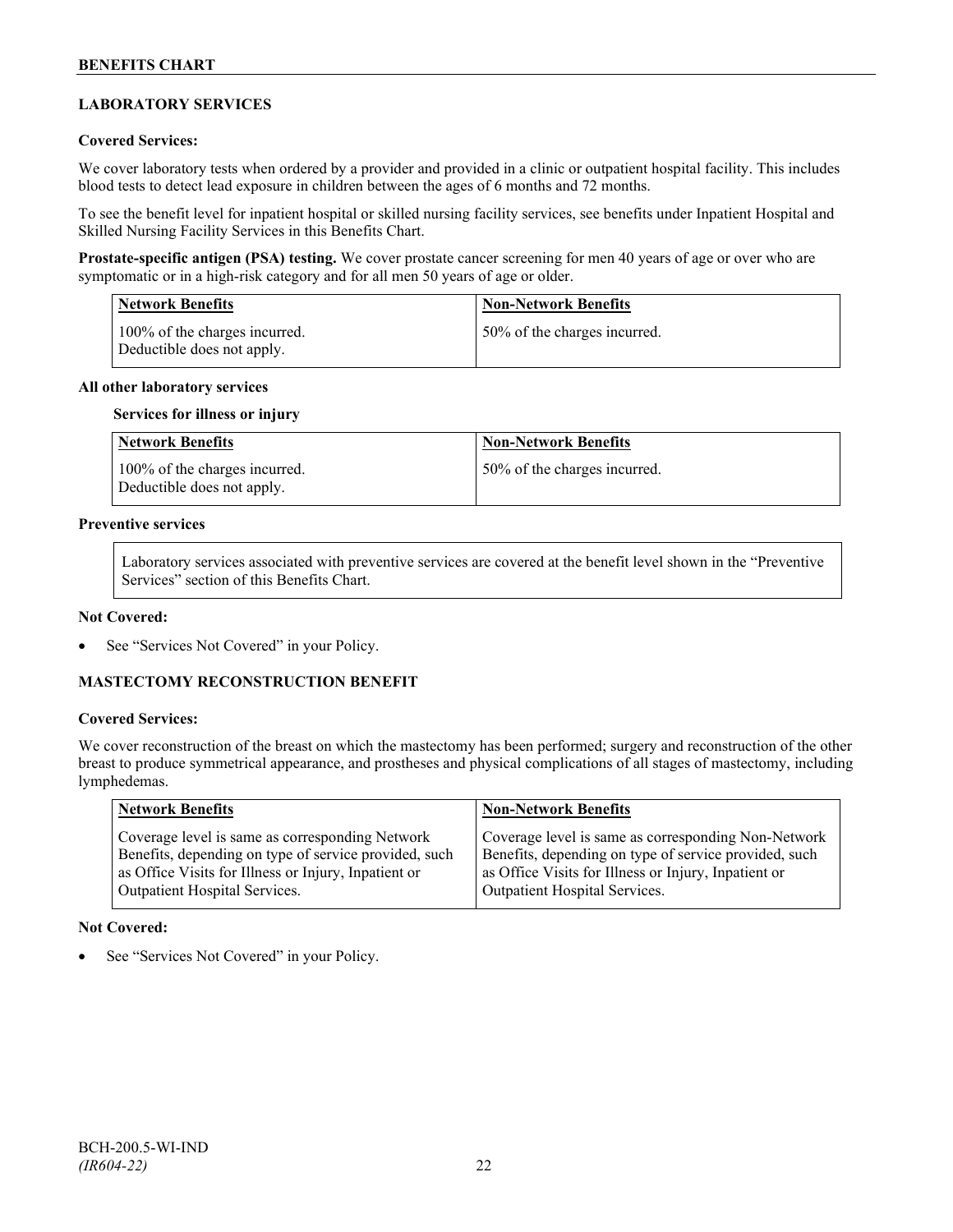## **LABORATORY SERVICES**

#### **Covered Services:**

We cover laboratory tests when ordered by a provider and provided in a clinic or outpatient hospital facility. This includes blood tests to detect lead exposure in children between the ages of 6 months and 72 months.

To see the benefit level for inpatient hospital or skilled nursing facility services, see benefits under Inpatient Hospital and Skilled Nursing Facility Services in this Benefits Chart.

**Prostate-specific antigen (PSA) testing.** We cover prostate cancer screening for men 40 years of age or over who are symptomatic or in a high-risk category and for all men 50 years of age or older.

| <b>Network Benefits</b>                                     | <b>Non-Network Benefits</b>  |
|-------------------------------------------------------------|------------------------------|
| 100% of the charges incurred.<br>Deductible does not apply. | 50% of the charges incurred. |

#### **All other laboratory services**

#### **Services for illness or injury**

| Network Benefits                                            | <b>Non-Network Benefits</b>  |
|-------------------------------------------------------------|------------------------------|
| 100% of the charges incurred.<br>Deductible does not apply. | 50% of the charges incurred. |

## **Preventive services**

Laboratory services associated with preventive services are covered at the benefit level shown in the "Preventive Services" section of this Benefits Chart.

#### **Not Covered:**

See "Services Not Covered" in your Policy.

## **MASTECTOMY RECONSTRUCTION BENEFIT**

#### **Covered Services:**

We cover reconstruction of the breast on which the mastectomy has been performed; surgery and reconstruction of the other breast to produce symmetrical appearance, and prostheses and physical complications of all stages of mastectomy, including lymphedemas.

| Network Benefits                                      | <b>Non-Network Benefits</b>                           |
|-------------------------------------------------------|-------------------------------------------------------|
| Coverage level is same as corresponding Network       | Coverage level is same as corresponding Non-Network   |
| Benefits, depending on type of service provided, such | Benefits, depending on type of service provided, such |
| as Office Visits for Illness or Injury, Inpatient or  | as Office Visits for Illness or Injury, Inpatient or  |
| <b>Outpatient Hospital Services.</b>                  | Outpatient Hospital Services.                         |

#### **Not Covered:**

See "Services Not Covered" in your Policy.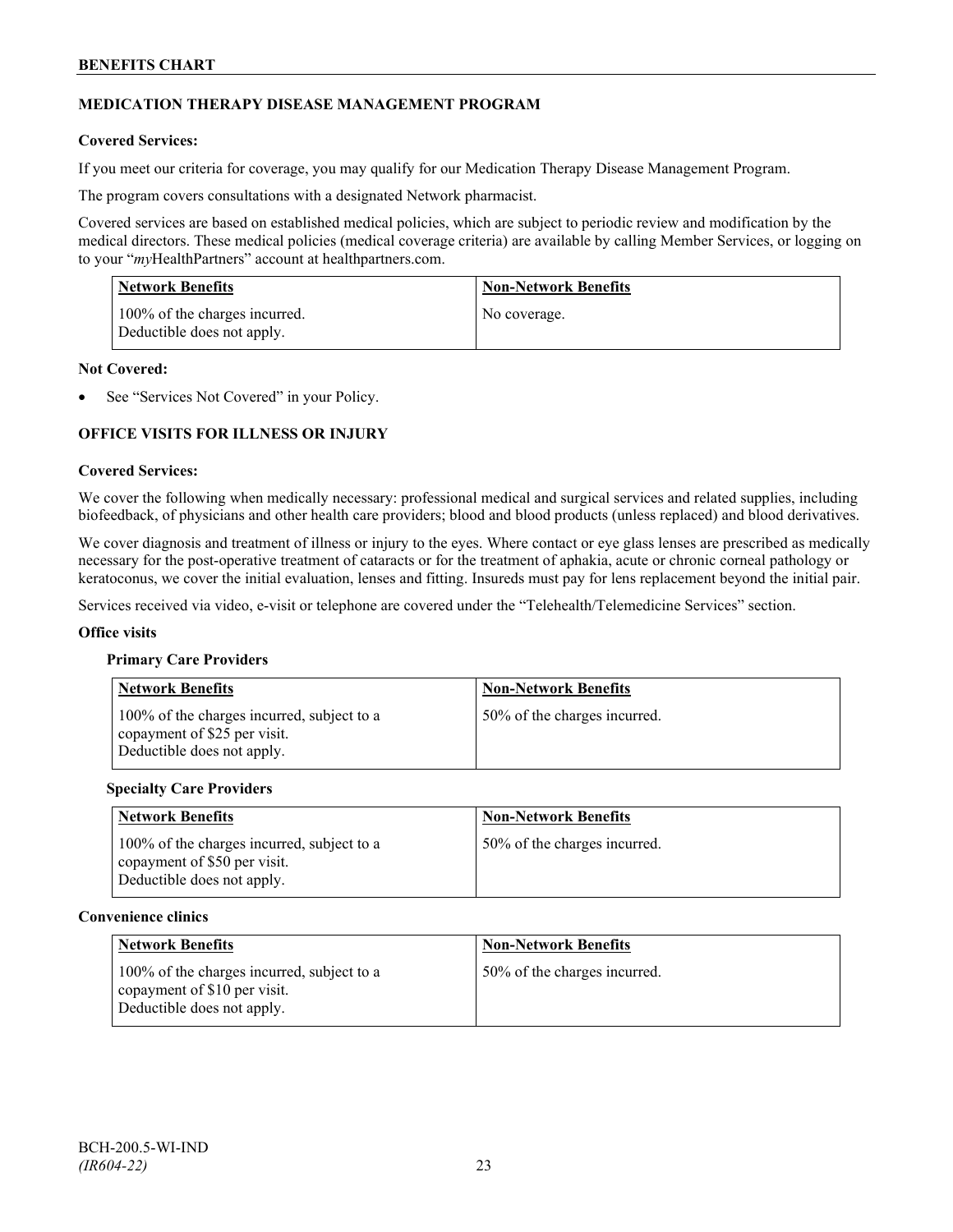## **MEDICATION THERAPY DISEASE MANAGEMENT PROGRAM**

## **Covered Services:**

If you meet our criteria for coverage, you may qualify for our Medication Therapy Disease Management Program.

The program covers consultations with a designated Network pharmacist.

Covered services are based on established medical policies, which are subject to periodic review and modification by the medical directors. These medical policies (medical coverage criteria) are available by calling Member Services, or logging on to your "*my*HealthPartners" account at [healthpartners.com.](http://www.healthpartners.com/)

| <b>Network Benefits</b>                                     | <b>Non-Network Benefits</b> |
|-------------------------------------------------------------|-----------------------------|
| 100% of the charges incurred.<br>Deductible does not apply. | No coverage.                |

#### **Not Covered:**

See "Services Not Covered" in your Policy.

## **OFFICE VISITS FOR ILLNESS OR INJURY**

#### **Covered Services:**

We cover the following when medically necessary: professional medical and surgical services and related supplies, including biofeedback, of physicians and other health care providers; blood and blood products (unless replaced) and blood derivatives.

We cover diagnosis and treatment of illness or injury to the eyes. Where contact or eye glass lenses are prescribed as medically necessary for the post-operative treatment of cataracts or for the treatment of aphakia, acute or chronic corneal pathology or keratoconus, we cover the initial evaluation, lenses and fitting. Insureds must pay for lens replacement beyond the initial pair.

Services received via video, e-visit or telephone are covered under the "Telehealth/Telemedicine Services" section.

#### **Office visits**

#### **Primary Care Providers**

| <b>Network Benefits</b>                                                                                  | <b>Non-Network Benefits</b>  |
|----------------------------------------------------------------------------------------------------------|------------------------------|
| 100% of the charges incurred, subject to a<br>copayment of \$25 per visit.<br>Deductible does not apply. | 50% of the charges incurred. |

#### **Specialty Care Providers**

| <b>Network Benefits</b>                                                                                  | <b>Non-Network Benefits</b>  |
|----------------------------------------------------------------------------------------------------------|------------------------------|
| 100% of the charges incurred, subject to a<br>copayment of \$50 per visit.<br>Deductible does not apply. | 50% of the charges incurred. |

#### **Convenience clinics**

| <b>Network Benefits</b>                                                                                  | <b>Non-Network Benefits</b>  |
|----------------------------------------------------------------------------------------------------------|------------------------------|
| 100% of the charges incurred, subject to a<br>copayment of \$10 per visit.<br>Deductible does not apply. | 50% of the charges incurred. |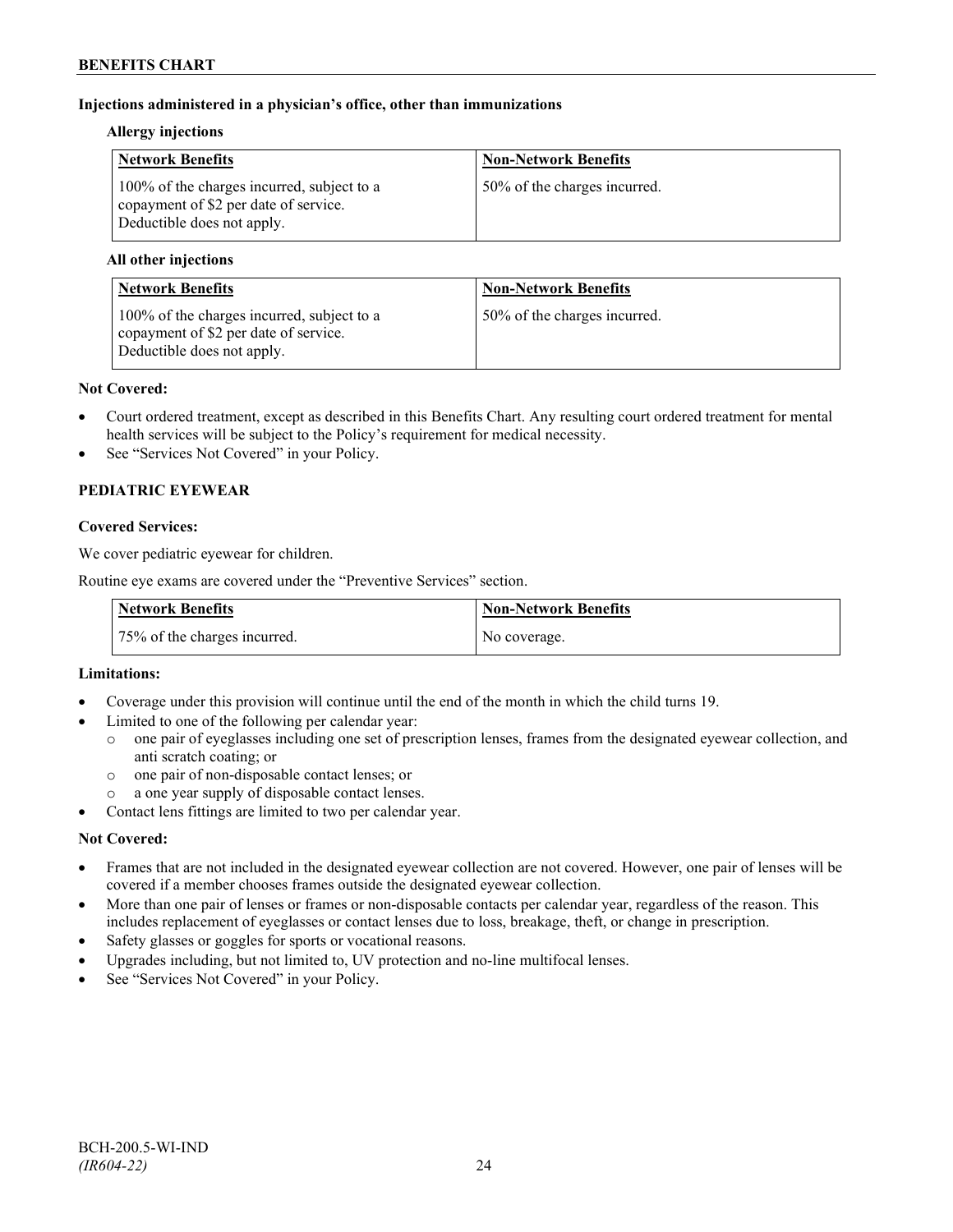## **Injections administered in a physician's office, other than immunizations**

#### **Allergy injections**

| <b>Network Benefits</b>                                                                                           | <b>Non-Network Benefits</b>  |
|-------------------------------------------------------------------------------------------------------------------|------------------------------|
| 100% of the charges incurred, subject to a<br>copayment of \$2 per date of service.<br>Deductible does not apply. | 50% of the charges incurred. |

## **All other injections**

| <b>Network Benefits</b>                                                                                           | <b>Non-Network Benefits</b>  |
|-------------------------------------------------------------------------------------------------------------------|------------------------------|
| 100% of the charges incurred, subject to a<br>copayment of \$2 per date of service.<br>Deductible does not apply. | 50% of the charges incurred. |

#### **Not Covered:**

- Court ordered treatment, except as described in this Benefits Chart. Any resulting court ordered treatment for mental health services will be subject to the Policy's requirement for medical necessity.
- See "Services Not Covered" in your Policy.

## **PEDIATRIC EYEWEAR**

## **Covered Services:**

We cover pediatric eyewear for children.

Routine eye exams are covered under the "Preventive Services" section.

| <b>Network Benefits</b>      | Non-Network Benefits |
|------------------------------|----------------------|
| 75% of the charges incurred. | No coverage.         |

## **Limitations:**

- Coverage under this provision will continue until the end of the month in which the child turns 19.
- Limited to one of the following per calendar year:
	- o one pair of eyeglasses including one set of prescription lenses, frames from the designated eyewear collection, and anti scratch coating; or
	- o one pair of non-disposable contact lenses; or
	- a one year supply of disposable contact lenses.
- Contact lens fittings are limited to two per calendar year.

## **Not Covered:**

- Frames that are not included in the designated eyewear collection are not covered. However, one pair of lenses will be covered if a member chooses frames outside the designated eyewear collection.
- More than one pair of lenses or frames or non-disposable contacts per calendar year, regardless of the reason. This includes replacement of eyeglasses or contact lenses due to loss, breakage, theft, or change in prescription.
- Safety glasses or goggles for sports or vocational reasons.
- Upgrades including, but not limited to, UV protection and no-line multifocal lenses.
- See "Services Not Covered" in your Policy.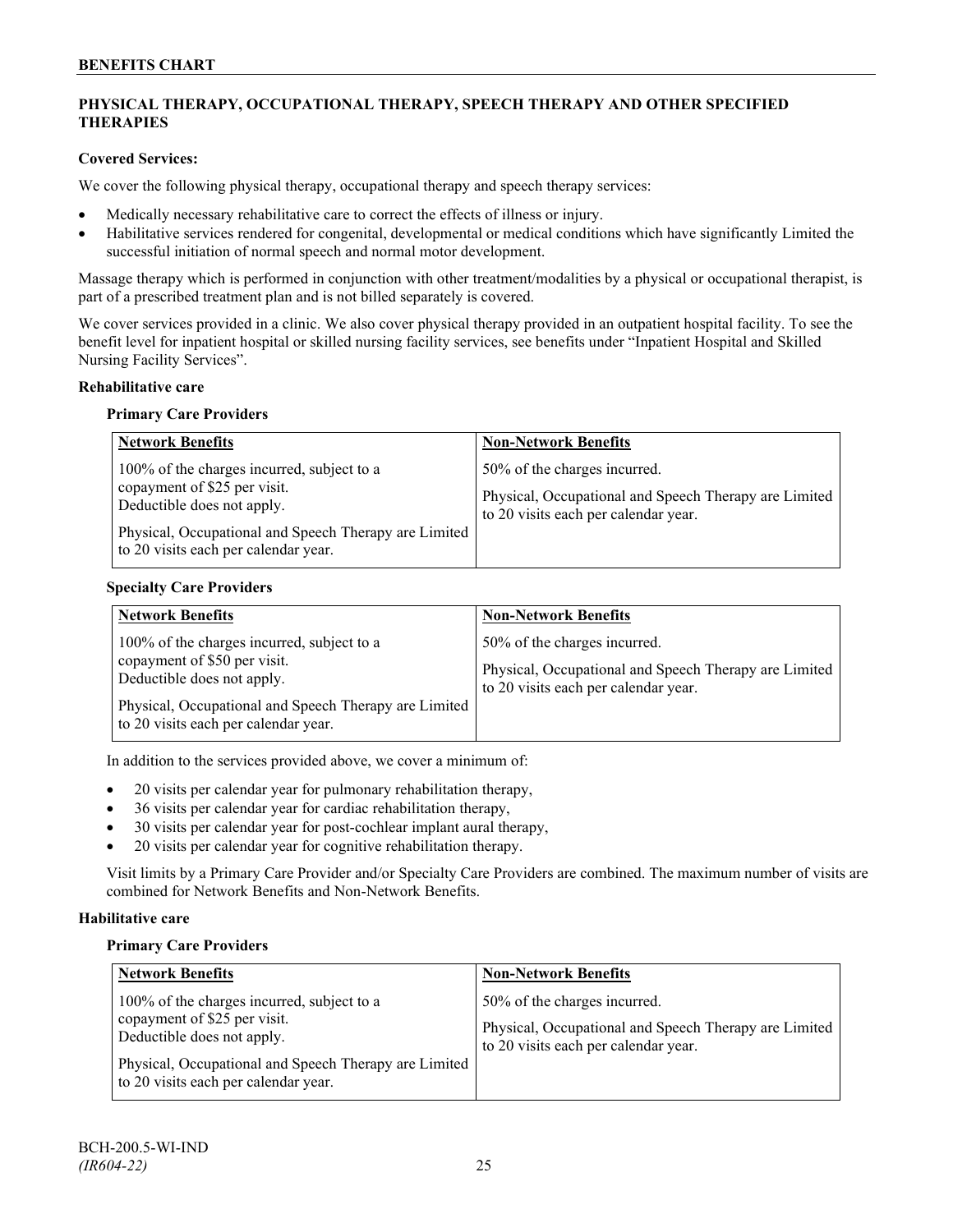## **PHYSICAL THERAPY, OCCUPATIONAL THERAPY, SPEECH THERAPY AND OTHER SPECIFIED THERAPIES**

## **Covered Services:**

We cover the following physical therapy, occupational therapy and speech therapy services:

- Medically necessary rehabilitative care to correct the effects of illness or injury.
- Habilitative services rendered for congenital, developmental or medical conditions which have significantly Limited the successful initiation of normal speech and normal motor development.

Massage therapy which is performed in conjunction with other treatment/modalities by a physical or occupational therapist, is part of a prescribed treatment plan and is not billed separately is covered.

We cover services provided in a clinic. We also cover physical therapy provided in an outpatient hospital facility. To see the benefit level for inpatient hospital or skilled nursing facility services, see benefits under "Inpatient Hospital and Skilled Nursing Facility Services".

## **Rehabilitative care**

#### **Primary Care Providers**

| <b>Network Benefits</b>                                                                                                                                                                                   | <b>Non-Network Benefits</b>                                                                                                   |
|-----------------------------------------------------------------------------------------------------------------------------------------------------------------------------------------------------------|-------------------------------------------------------------------------------------------------------------------------------|
| 100% of the charges incurred, subject to a<br>copayment of \$25 per visit.<br>Deductible does not apply.<br>Physical, Occupational and Speech Therapy are Limited<br>to 20 visits each per calendar year. | 50% of the charges incurred.<br>Physical, Occupational and Speech Therapy are Limited<br>to 20 visits each per calendar year. |

## **Specialty Care Providers**

| <b>Network Benefits</b>                                                                                                                                                                                   | <b>Non-Network Benefits</b>                                                                                                   |
|-----------------------------------------------------------------------------------------------------------------------------------------------------------------------------------------------------------|-------------------------------------------------------------------------------------------------------------------------------|
| 100% of the charges incurred, subject to a<br>copayment of \$50 per visit.<br>Deductible does not apply.<br>Physical, Occupational and Speech Therapy are Limited<br>to 20 visits each per calendar year. | 50% of the charges incurred.<br>Physical, Occupational and Speech Therapy are Limited<br>to 20 visits each per calendar year. |

In addition to the services provided above, we cover a minimum of:

- 20 visits per calendar year for pulmonary rehabilitation therapy,
- 36 visits per calendar year for cardiac rehabilitation therapy,
- 30 visits per calendar year for post-cochlear implant aural therapy,
- 20 visits per calendar year for cognitive rehabilitation therapy.

Visit limits by a Primary Care Provider and/or Specialty Care Providers are combined. The maximum number of visits are combined for Network Benefits and Non-Network Benefits.

## **Habilitative care**

#### **Primary Care Providers**

| <b>Network Benefits</b>                                                                                                                                                                                   | <b>Non-Network Benefits</b>                                                                                                   |
|-----------------------------------------------------------------------------------------------------------------------------------------------------------------------------------------------------------|-------------------------------------------------------------------------------------------------------------------------------|
| 100% of the charges incurred, subject to a<br>copayment of \$25 per visit.<br>Deductible does not apply.<br>Physical, Occupational and Speech Therapy are Limited<br>to 20 visits each per calendar year. | 50% of the charges incurred.<br>Physical, Occupational and Speech Therapy are Limited<br>to 20 visits each per calendar year. |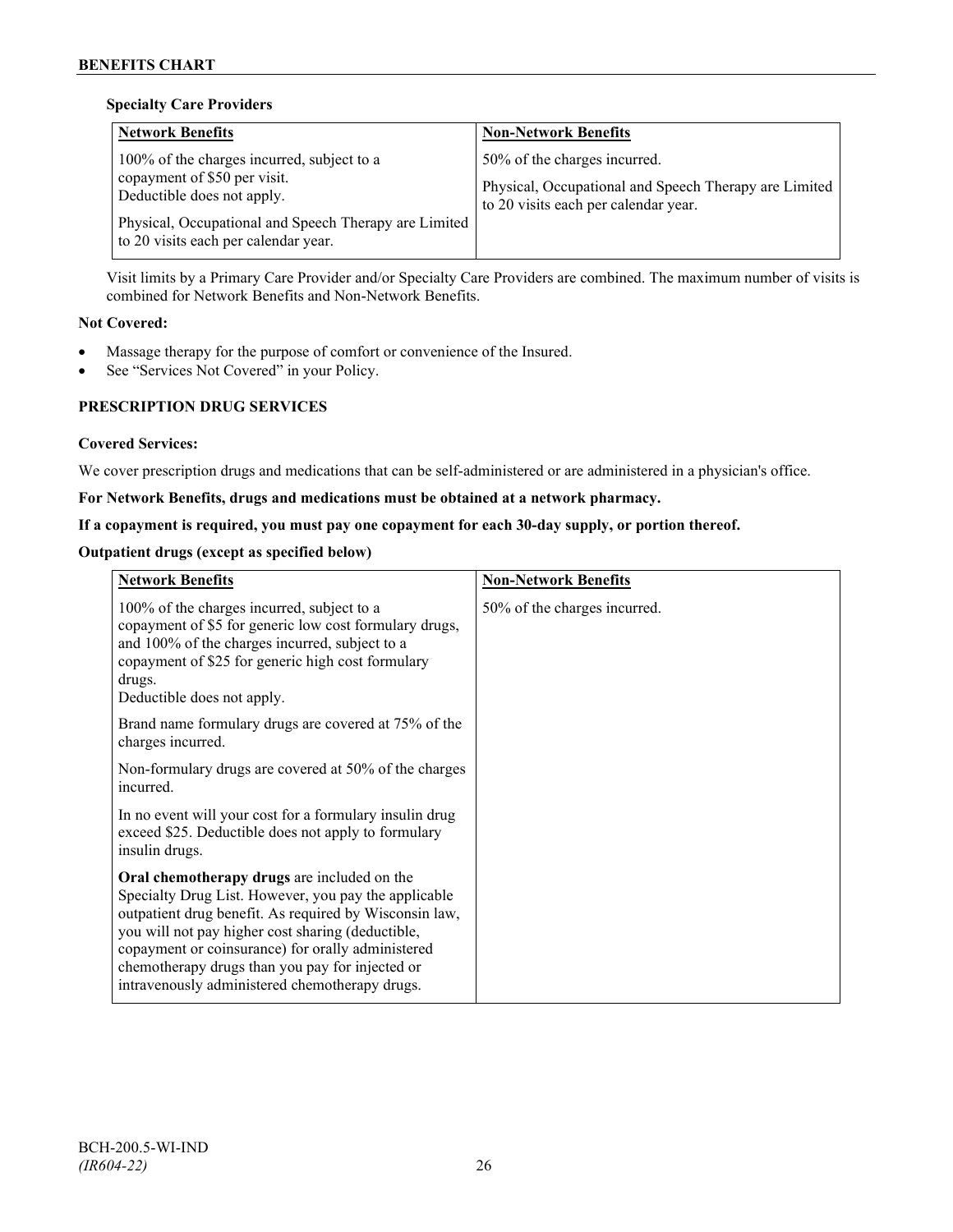## **Specialty Care Providers**

| <b>Network Benefits</b>                                                                                                                                                                                   | <b>Non-Network Benefits</b>                                                                                                   |
|-----------------------------------------------------------------------------------------------------------------------------------------------------------------------------------------------------------|-------------------------------------------------------------------------------------------------------------------------------|
| 100% of the charges incurred, subject to a<br>copayment of \$50 per visit.<br>Deductible does not apply.<br>Physical, Occupational and Speech Therapy are Limited<br>to 20 visits each per calendar year. | 50% of the charges incurred.<br>Physical, Occupational and Speech Therapy are Limited<br>to 20 visits each per calendar year. |

Visit limits by a Primary Care Provider and/or Specialty Care Providers are combined. The maximum number of visits is combined for Network Benefits and Non-Network Benefits.

## **Not Covered:**

- Massage therapy for the purpose of comfort or convenience of the Insured.
- See "Services Not Covered" in your Policy.

## **PRESCRIPTION DRUG SERVICES**

## **Covered Services:**

We cover prescription drugs and medications that can be self-administered or are administered in a physician's office.

## **For Network Benefits, drugs and medications must be obtained at a network pharmacy.**

## **If a copayment is required, you must pay one copayment for each 30-day supply, or portion thereof.**

## **Outpatient drugs (except as specified below)**

| <b>Network Benefits</b>                                                                                                                                                                                                                                                                                                                                                      | <b>Non-Network Benefits</b>  |
|------------------------------------------------------------------------------------------------------------------------------------------------------------------------------------------------------------------------------------------------------------------------------------------------------------------------------------------------------------------------------|------------------------------|
| 100% of the charges incurred, subject to a<br>copayment of \$5 for generic low cost formulary drugs,<br>and 100% of the charges incurred, subject to a<br>copayment of \$25 for generic high cost formulary<br>drugs.<br>Deductible does not apply.                                                                                                                          | 50% of the charges incurred. |
| Brand name formulary drugs are covered at 75% of the<br>charges incurred.                                                                                                                                                                                                                                                                                                    |                              |
| Non-formulary drugs are covered at 50% of the charges<br>incurred.                                                                                                                                                                                                                                                                                                           |                              |
| In no event will your cost for a formulary insulin drug<br>exceed \$25. Deductible does not apply to formulary<br>insulin drugs.                                                                                                                                                                                                                                             |                              |
| Oral chemotherapy drugs are included on the<br>Specialty Drug List. However, you pay the applicable<br>outpatient drug benefit. As required by Wisconsin law,<br>you will not pay higher cost sharing (deductible,<br>copayment or coinsurance) for orally administered<br>chemotherapy drugs than you pay for injected or<br>intravenously administered chemotherapy drugs. |                              |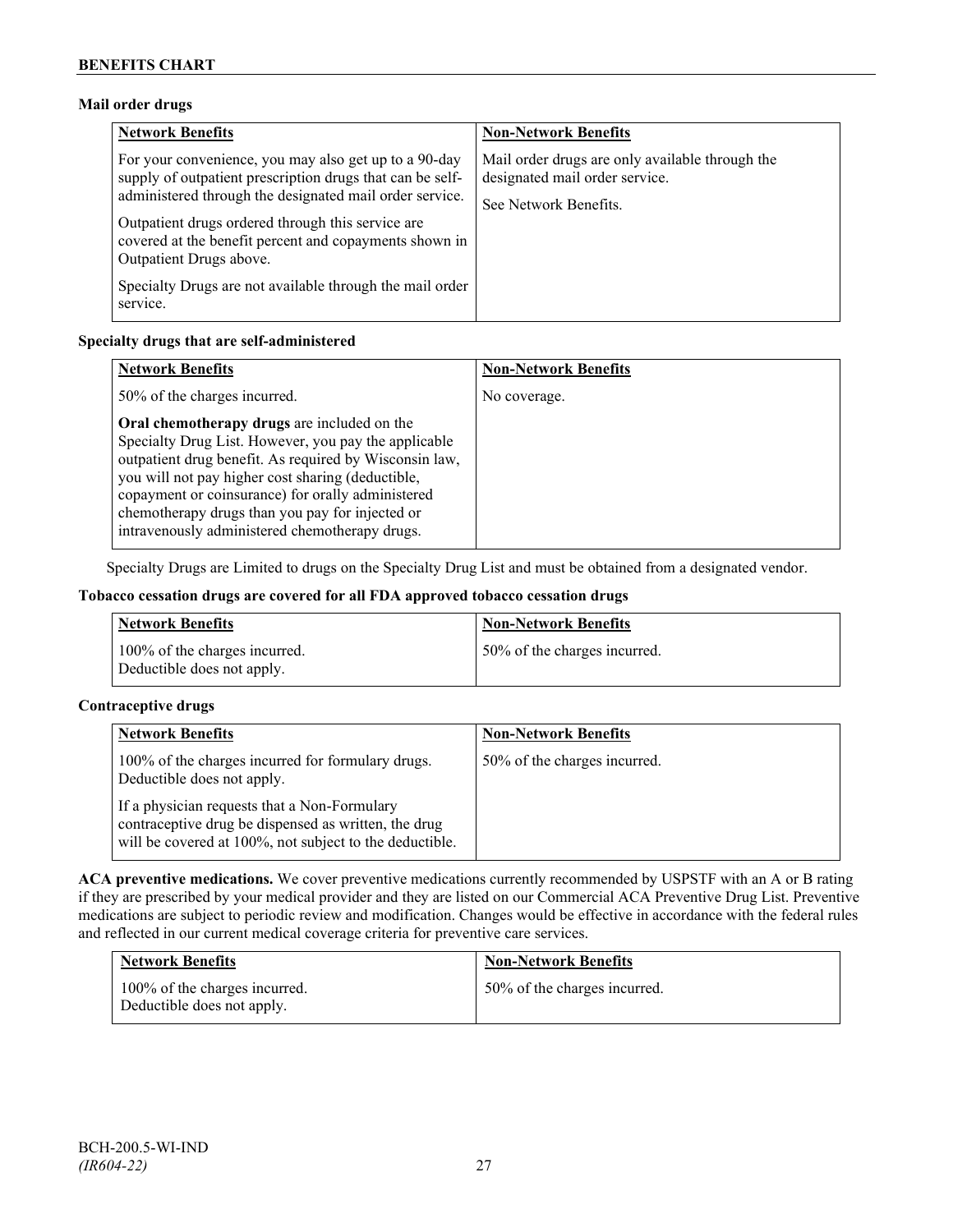## **Mail order drugs**

| <b>Network Benefits</b>                                                                                                                                                                                                                                                                                                 | <b>Non-Network Benefits</b>                                                                                |
|-------------------------------------------------------------------------------------------------------------------------------------------------------------------------------------------------------------------------------------------------------------------------------------------------------------------------|------------------------------------------------------------------------------------------------------------|
| For your convenience, you may also get up to a 90-day<br>supply of outpatient prescription drugs that can be self-<br>administered through the designated mail order service.<br>Outpatient drugs ordered through this service are<br>covered at the benefit percent and copayments shown in<br>Outpatient Drugs above. | Mail order drugs are only available through the<br>designated mail order service.<br>See Network Benefits. |
| Specialty Drugs are not available through the mail order<br>service.                                                                                                                                                                                                                                                    |                                                                                                            |

## **Specialty drugs that are self-administered**

| <b>Network Benefits</b>                                                                                                                                                                                                                                                                                                                                                      | <b>Non-Network Benefits</b> |
|------------------------------------------------------------------------------------------------------------------------------------------------------------------------------------------------------------------------------------------------------------------------------------------------------------------------------------------------------------------------------|-----------------------------|
| 50% of the charges incurred.                                                                                                                                                                                                                                                                                                                                                 | No coverage.                |
| Oral chemotherapy drugs are included on the<br>Specialty Drug List. However, you pay the applicable<br>outpatient drug benefit. As required by Wisconsin law,<br>you will not pay higher cost sharing (deductible,<br>copayment or coinsurance) for orally administered<br>chemotherapy drugs than you pay for injected or<br>intravenously administered chemotherapy drugs. |                             |

Specialty Drugs are Limited to drugs on the Specialty Drug List and must be obtained from a designated vendor.

#### **Tobacco cessation drugs are covered for all FDA approved tobacco cessation drugs**

| <b>Network Benefits</b>                                     | <b>Non-Network Benefits</b>  |
|-------------------------------------------------------------|------------------------------|
| 100% of the charges incurred.<br>Deductible does not apply. | 50% of the charges incurred. |

## **Contraceptive drugs**

| <b>Network Benefits</b>                                                                                                                                         | <b>Non-Network Benefits</b>  |
|-----------------------------------------------------------------------------------------------------------------------------------------------------------------|------------------------------|
| 100% of the charges incurred for formulary drugs.<br>Deductible does not apply.                                                                                 | 50% of the charges incurred. |
| If a physician requests that a Non-Formulary<br>contraceptive drug be dispensed as written, the drug<br>will be covered at 100%, not subject to the deductible. |                              |

**ACA preventive medications.** We cover preventive medications currently recommended by USPSTF with an A or B rating if they are prescribed by your medical provider and they are listed on our Commercial ACA Preventive Drug List. Preventive medications are subject to periodic review and modification. Changes would be effective in accordance with the federal rules and reflected in our current medical coverage criteria for preventive care services.

| <b>Network Benefits</b>                                     | <b>Non-Network Benefits</b>  |
|-------------------------------------------------------------|------------------------------|
| 100% of the charges incurred.<br>Deductible does not apply. | 50% of the charges incurred. |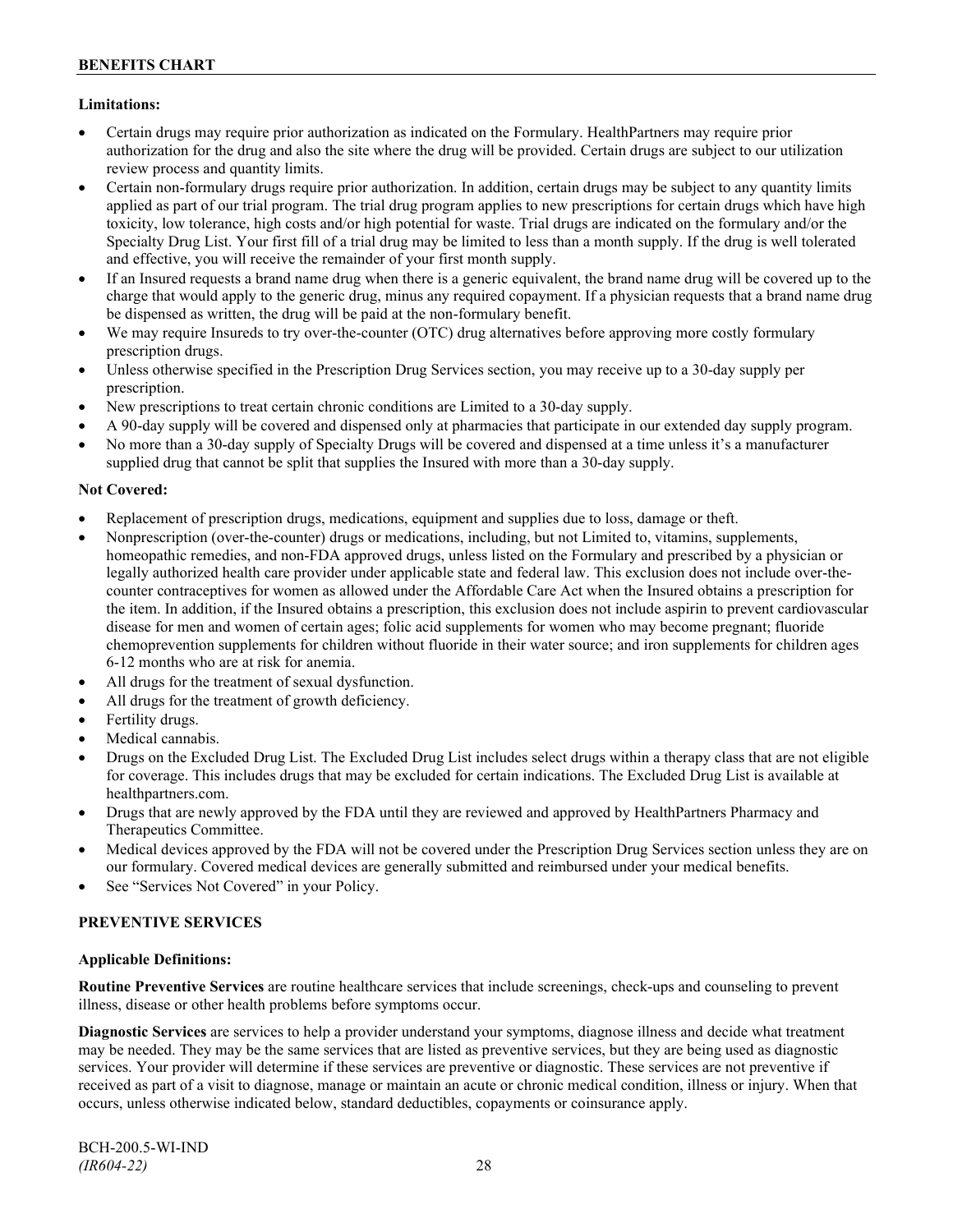## **Limitations:**

- Certain drugs may require prior authorization as indicated on the Formulary. HealthPartners may require prior authorization for the drug and also the site where the drug will be provided. Certain drugs are subject to our utilization review process and quantity limits.
- Certain non-formulary drugs require prior authorization. In addition, certain drugs may be subject to any quantity limits applied as part of our trial program. The trial drug program applies to new prescriptions for certain drugs which have high toxicity, low tolerance, high costs and/or high potential for waste. Trial drugs are indicated on the formulary and/or the Specialty Drug List. Your first fill of a trial drug may be limited to less than a month supply. If the drug is well tolerated and effective, you will receive the remainder of your first month supply.
- If an Insured requests a brand name drug when there is a generic equivalent, the brand name drug will be covered up to the charge that would apply to the generic drug, minus any required copayment. If a physician requests that a brand name drug be dispensed as written, the drug will be paid at the non-formulary benefit.
- We may require Insureds to try over-the-counter (OTC) drug alternatives before approving more costly formulary prescription drugs.
- Unless otherwise specified in the Prescription Drug Services section, you may receive up to a 30-day supply per prescription.
- New prescriptions to treat certain chronic conditions are Limited to a 30-day supply.
- A 90-day supply will be covered and dispensed only at pharmacies that participate in our extended day supply program.
- No more than a 30-day supply of Specialty Drugs will be covered and dispensed at a time unless it's a manufacturer supplied drug that cannot be split that supplies the Insured with more than a 30-day supply.

## **Not Covered:**

- Replacement of prescription drugs, medications, equipment and supplies due to loss, damage or theft.
- Nonprescription (over-the-counter) drugs or medications, including, but not Limited to, vitamins, supplements, homeopathic remedies, and non-FDA approved drugs, unless listed on the Formulary and prescribed by a physician or legally authorized health care provider under applicable state and federal law. This exclusion does not include over-thecounter contraceptives for women as allowed under the Affordable Care Act when the Insured obtains a prescription for the item. In addition, if the Insured obtains a prescription, this exclusion does not include aspirin to prevent cardiovascular disease for men and women of certain ages; folic acid supplements for women who may become pregnant; fluoride chemoprevention supplements for children without fluoride in their water source; and iron supplements for children ages 6-12 months who are at risk for anemia.
- All drugs for the treatment of sexual dysfunction.
- All drugs for the treatment of growth deficiency.
- Fertility drugs.
- Medical cannabis.
- Drugs on the Excluded Drug List. The Excluded Drug List includes select drugs within a therapy class that are not eligible for coverage. This includes drugs that may be excluded for certain indications. The Excluded Drug List is available at [healthpartners.com.](http://www.healthpartners.com/)
- Drugs that are newly approved by the FDA until they are reviewed and approved by HealthPartners Pharmacy and Therapeutics Committee.
- Medical devices approved by the FDA will not be covered under the Prescription Drug Services section unless they are on our formulary. Covered medical devices are generally submitted and reimbursed under your medical benefits.
- See "Services Not Covered" in your Policy.

## **PREVENTIVE SERVICES**

## **Applicable Definitions:**

**Routine Preventive Services** are routine healthcare services that include screenings, check-ups and counseling to prevent illness, disease or other health problems before symptoms occur.

**Diagnostic Services** are services to help a provider understand your symptoms, diagnose illness and decide what treatment may be needed. They may be the same services that are listed as preventive services, but they are being used as diagnostic services. Your provider will determine if these services are preventive or diagnostic. These services are not preventive if received as part of a visit to diagnose, manage or maintain an acute or chronic medical condition, illness or injury. When that occurs, unless otherwise indicated below, standard deductibles, copayments or coinsurance apply.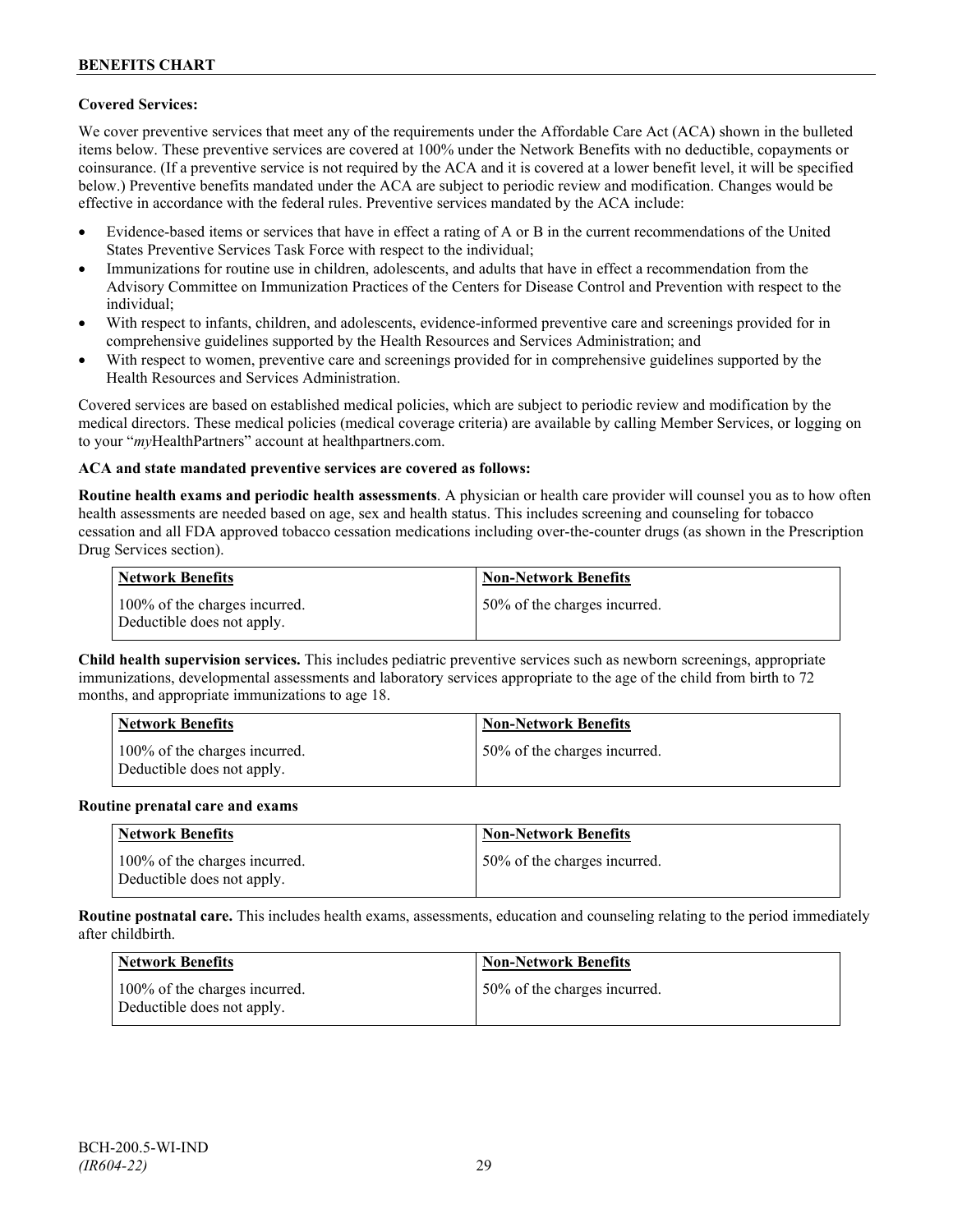## **Covered Services:**

We cover preventive services that meet any of the requirements under the Affordable Care Act (ACA) shown in the bulleted items below. These preventive services are covered at 100% under the Network Benefits with no deductible, copayments or coinsurance. (If a preventive service is not required by the ACA and it is covered at a lower benefit level, it will be specified below.) Preventive benefits mandated under the ACA are subject to periodic review and modification. Changes would be effective in accordance with the federal rules. Preventive services mandated by the ACA include:

- Evidence-based items or services that have in effect a rating of A or B in the current recommendations of the United States Preventive Services Task Force with respect to the individual;
- Immunizations for routine use in children, adolescents, and adults that have in effect a recommendation from the Advisory Committee on Immunization Practices of the Centers for Disease Control and Prevention with respect to the individual;
- With respect to infants, children, and adolescents, evidence-informed preventive care and screenings provided for in comprehensive guidelines supported by the Health Resources and Services Administration; and
- With respect to women, preventive care and screenings provided for in comprehensive guidelines supported by the Health Resources and Services Administration.

Covered services are based on established medical policies, which are subject to periodic review and modification by the medical directors. These medical policies (medical coverage criteria) are available by calling Member Services, or logging on to your "*my*HealthPartners" account at [healthpartners.com.](http://www.healthpartners.com/)

## **ACA and state mandated preventive services are covered as follows:**

**Routine health exams and periodic health assessments**. A physician or health care provider will counsel you as to how often health assessments are needed based on age, sex and health status. This includes screening and counseling for tobacco cessation and all FDA approved tobacco cessation medications including over-the-counter drugs (as shown in the Prescription Drug Services section).

| <b>Network Benefits</b>                                     | <b>Non-Network Benefits</b>  |
|-------------------------------------------------------------|------------------------------|
| 100% of the charges incurred.<br>Deductible does not apply. | 50% of the charges incurred. |

**Child health supervision services.** This includes pediatric preventive services such as newborn screenings, appropriate immunizations, developmental assessments and laboratory services appropriate to the age of the child from birth to 72 months, and appropriate immunizations to age 18.

| <b>Network Benefits</b>                                     | <b>Non-Network Benefits</b>  |
|-------------------------------------------------------------|------------------------------|
| 100% of the charges incurred.<br>Deductible does not apply. | 50% of the charges incurred. |

#### **Routine prenatal care and exams**

| Network Benefits                                            | <b>Non-Network Benefits</b>  |
|-------------------------------------------------------------|------------------------------|
| 100% of the charges incurred.<br>Deductible does not apply. | 50% of the charges incurred. |

**Routine postnatal care.** This includes health exams, assessments, education and counseling relating to the period immediately after childbirth.

| <b>Network Benefits</b>                                     | <b>Non-Network Benefits</b>  |
|-------------------------------------------------------------|------------------------------|
| 100% of the charges incurred.<br>Deductible does not apply. | 50% of the charges incurred. |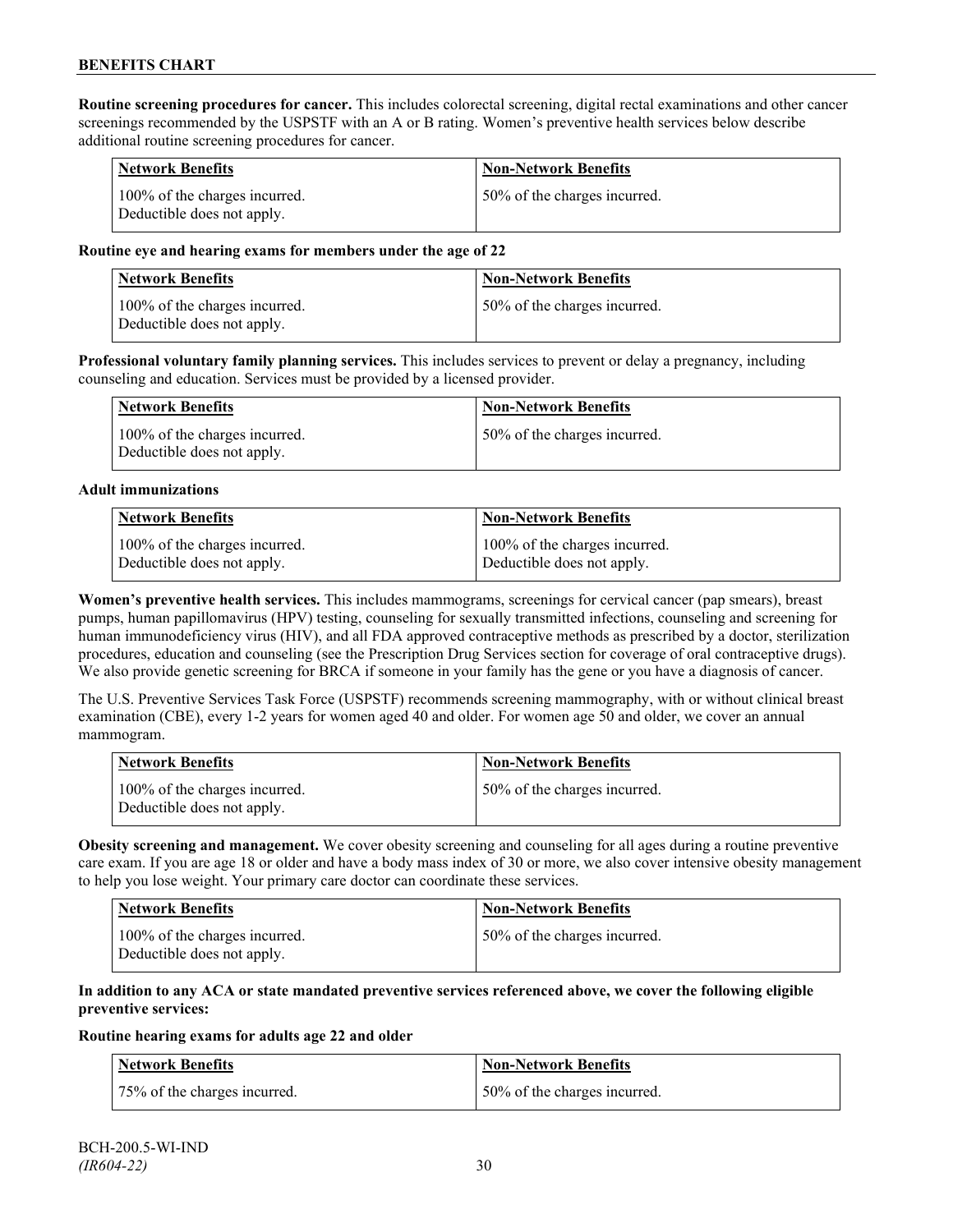**Routine screening procedures for cancer.** This includes colorectal screening, digital rectal examinations and other cancer screenings recommended by the USPSTF with an A or B rating. Women's preventive health services below describe additional routine screening procedures for cancer.

| <b>Network Benefits</b>                                     | <b>Non-Network Benefits</b>  |
|-------------------------------------------------------------|------------------------------|
| 100% of the charges incurred.<br>Deductible does not apply. | 50% of the charges incurred. |

#### **Routine eye and hearing exams for members under the age of 22**

| Network Benefits                                            | <b>Non-Network Benefits</b>  |
|-------------------------------------------------------------|------------------------------|
| 100% of the charges incurred.<br>Deductible does not apply. | 50% of the charges incurred. |

**Professional voluntary family planning services.** This includes services to prevent or delay a pregnancy, including counseling and education. Services must be provided by a licensed provider.

| Network Benefits                                            | <b>Non-Network Benefits</b>  |
|-------------------------------------------------------------|------------------------------|
| 100% of the charges incurred.<br>Deductible does not apply. | 50% of the charges incurred. |

#### **Adult immunizations**

| <b>Network Benefits</b>       | <b>Non-Network Benefits</b>   |
|-------------------------------|-------------------------------|
| 100% of the charges incurred. | 100% of the charges incurred. |
| Deductible does not apply.    | Deductible does not apply.    |

**Women's preventive health services.** This includes mammograms, screenings for cervical cancer (pap smears), breast pumps, human papillomavirus (HPV) testing, counseling for sexually transmitted infections, counseling and screening for human immunodeficiency virus (HIV), and all FDA approved contraceptive methods as prescribed by a doctor, sterilization procedures, education and counseling (see the Prescription Drug Services section for coverage of oral contraceptive drugs). We also provide genetic screening for BRCA if someone in your family has the gene or you have a diagnosis of cancer.

The U.S. Preventive Services Task Force (USPSTF) recommends screening mammography, with or without clinical breast examination (CBE), every 1-2 years for women aged 40 and older. For women age 50 and older, we cover an annual mammogram.

| Network Benefits                                            | <b>Non-Network Benefits</b>  |
|-------------------------------------------------------------|------------------------------|
| 100% of the charges incurred.<br>Deductible does not apply. | 50% of the charges incurred. |

**Obesity screening and management.** We cover obesity screening and counseling for all ages during a routine preventive care exam. If you are age 18 or older and have a body mass index of 30 or more, we also cover intensive obesity management to help you lose weight. Your primary care doctor can coordinate these services.

| <b>Network Benefits</b>                                     | Non-Network Benefits         |
|-------------------------------------------------------------|------------------------------|
| 100% of the charges incurred.<br>Deductible does not apply. | 50% of the charges incurred. |

#### **In addition to any ACA or state mandated preventive services referenced above, we cover the following eligible preventive services:**

#### **Routine hearing exams for adults age 22 and older**

| <b>Network Benefits</b>      | <b>Non-Network Benefits</b>  |
|------------------------------|------------------------------|
| 75% of the charges incurred. | 50% of the charges incurred. |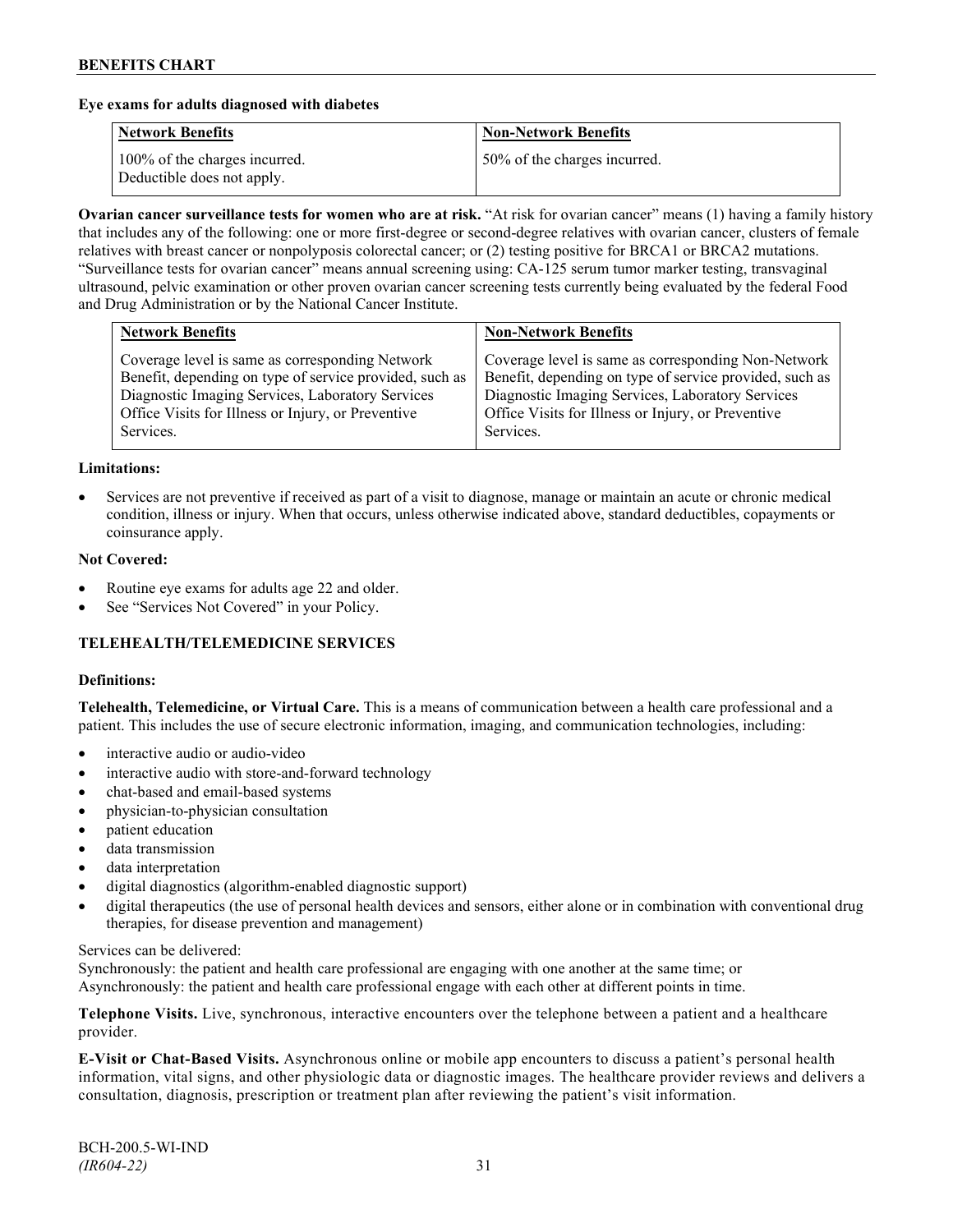#### **Eye exams for adults diagnosed with diabetes**

| <b>Network Benefits</b>                                     | <b>Non-Network Benefits</b>  |
|-------------------------------------------------------------|------------------------------|
| 100% of the charges incurred.<br>Deductible does not apply. | 50% of the charges incurred. |

**Ovarian cancer surveillance tests for women who are at risk.** "At risk for ovarian cancer" means (1) having a family history that includes any of the following: one or more first-degree or second-degree relatives with ovarian cancer, clusters of female relatives with breast cancer or nonpolyposis colorectal cancer; or (2) testing positive for BRCA1 or BRCA2 mutations. "Surveillance tests for ovarian cancer" means annual screening using: CA-125 serum tumor marker testing, transvaginal ultrasound, pelvic examination or other proven ovarian cancer screening tests currently being evaluated by the federal Food and Drug Administration or by the National Cancer Institute.

| Coverage level is same as corresponding Network<br>Benefit, depending on type of service provided, such as<br>Diagnostic Imaging Services, Laboratory Services<br>Diagnostic Imaging Services, Laboratory Services<br>Office Visits for Illness or Injury, or Preventive<br>Office Visits for Illness or Injury, or Preventive | <b>Network Benefits</b> | <b>Non-Network Benefits</b>                                                                                                 |
|--------------------------------------------------------------------------------------------------------------------------------------------------------------------------------------------------------------------------------------------------------------------------------------------------------------------------------|-------------------------|-----------------------------------------------------------------------------------------------------------------------------|
|                                                                                                                                                                                                                                                                                                                                | Services.               | Coverage level is same as corresponding Non-Network<br>Benefit, depending on type of service provided, such as<br>Services. |

#### **Limitations:**

• Services are not preventive if received as part of a visit to diagnose, manage or maintain an acute or chronic medical condition, illness or injury. When that occurs, unless otherwise indicated above, standard deductibles, copayments or coinsurance apply.

#### **Not Covered:**

- Routine eye exams for adults age 22 and older.
- See "Services Not Covered" in your Policy.

## **TELEHEALTH/TELEMEDICINE SERVICES**

#### **Definitions:**

**Telehealth, Telemedicine, or Virtual Care.** This is a means of communication between a health care professional and a patient. This includes the use of secure electronic information, imaging, and communication technologies, including:

- interactive audio or audio-video
- interactive audio with store-and-forward technology
- chat-based and email-based systems
- physician-to-physician consultation
- patient education
- data transmission
- data interpretation
- digital diagnostics (algorithm-enabled diagnostic support)
- digital therapeutics (the use of personal health devices and sensors, either alone or in combination with conventional drug therapies, for disease prevention and management)

#### Services can be delivered:

Synchronously: the patient and health care professional are engaging with one another at the same time; or Asynchronously: the patient and health care professional engage with each other at different points in time.

**Telephone Visits.** Live, synchronous, interactive encounters over the telephone between a patient and a healthcare provider.

**E-Visit or Chat-Based Visits.** Asynchronous online or mobile app encounters to discuss a patient's personal health information, vital signs, and other physiologic data or diagnostic images. The healthcare provider reviews and delivers a consultation, diagnosis, prescription or treatment plan after reviewing the patient's visit information.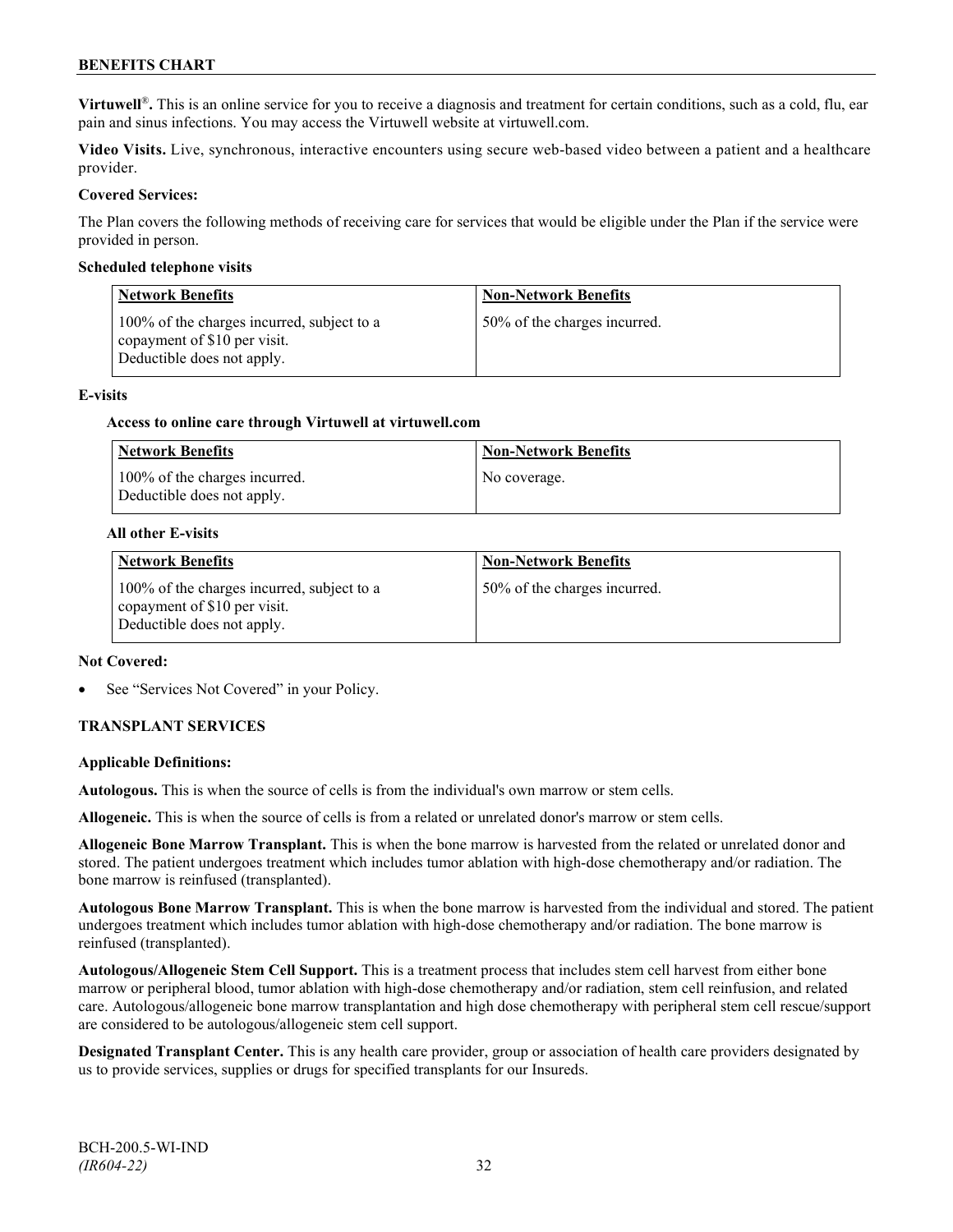**Virtuwell<sup>®</sup>**. This is an online service for you to receive a diagnosis and treatment for certain conditions, such as a cold, flu, ear pain and sinus infections. You may access the Virtuwell website at [virtuwell.com.](https://www.virtuwell.com/)

**Video Visits.** Live, synchronous, interactive encounters using secure web-based video between a patient and a healthcare provider.

#### **Covered Services:**

The Plan covers the following methods of receiving care for services that would be eligible under the Plan if the service were provided in person.

#### **Scheduled telephone visits**

| <b>Network Benefits</b>                                                                                  | <b>Non-Network Benefits</b>  |
|----------------------------------------------------------------------------------------------------------|------------------------------|
| 100% of the charges incurred, subject to a<br>copayment of \$10 per visit.<br>Deductible does not apply. | 50% of the charges incurred. |

#### **E-visits**

#### **Access to online care through Virtuwell at [virtuwell.com](http://www.virtuwell.com/)**

| <b>Network Benefits</b>                                     | <b>Non-Network Benefits</b> |
|-------------------------------------------------------------|-----------------------------|
| 100% of the charges incurred.<br>Deductible does not apply. | No coverage.                |

#### **All other E-visits**

| <b>Network Benefits</b>                                                                                  | <b>Non-Network Benefits</b>  |
|----------------------------------------------------------------------------------------------------------|------------------------------|
| 100% of the charges incurred, subject to a<br>copayment of \$10 per visit.<br>Deductible does not apply. | 50% of the charges incurred. |

#### **Not Covered:**

See "Services Not Covered" in your Policy.

## **TRANSPLANT SERVICES**

## **Applicable Definitions:**

**Autologous.** This is when the source of cells is from the individual's own marrow or stem cells.

**Allogeneic.** This is when the source of cells is from a related or unrelated donor's marrow or stem cells.

**Allogeneic Bone Marrow Transplant.** This is when the bone marrow is harvested from the related or unrelated donor and stored. The patient undergoes treatment which includes tumor ablation with high-dose chemotherapy and/or radiation. The bone marrow is reinfused (transplanted).

**Autologous Bone Marrow Transplant.** This is when the bone marrow is harvested from the individual and stored. The patient undergoes treatment which includes tumor ablation with high-dose chemotherapy and/or radiation. The bone marrow is reinfused (transplanted).

**Autologous/Allogeneic Stem Cell Support.** This is a treatment process that includes stem cell harvest from either bone marrow or peripheral blood, tumor ablation with high-dose chemotherapy and/or radiation, stem cell reinfusion, and related care. Autologous/allogeneic bone marrow transplantation and high dose chemotherapy with peripheral stem cell rescue/support are considered to be autologous/allogeneic stem cell support.

**Designated Transplant Center.** This is any health care provider, group or association of health care providers designated by us to provide services, supplies or drugs for specified transplants for our Insureds.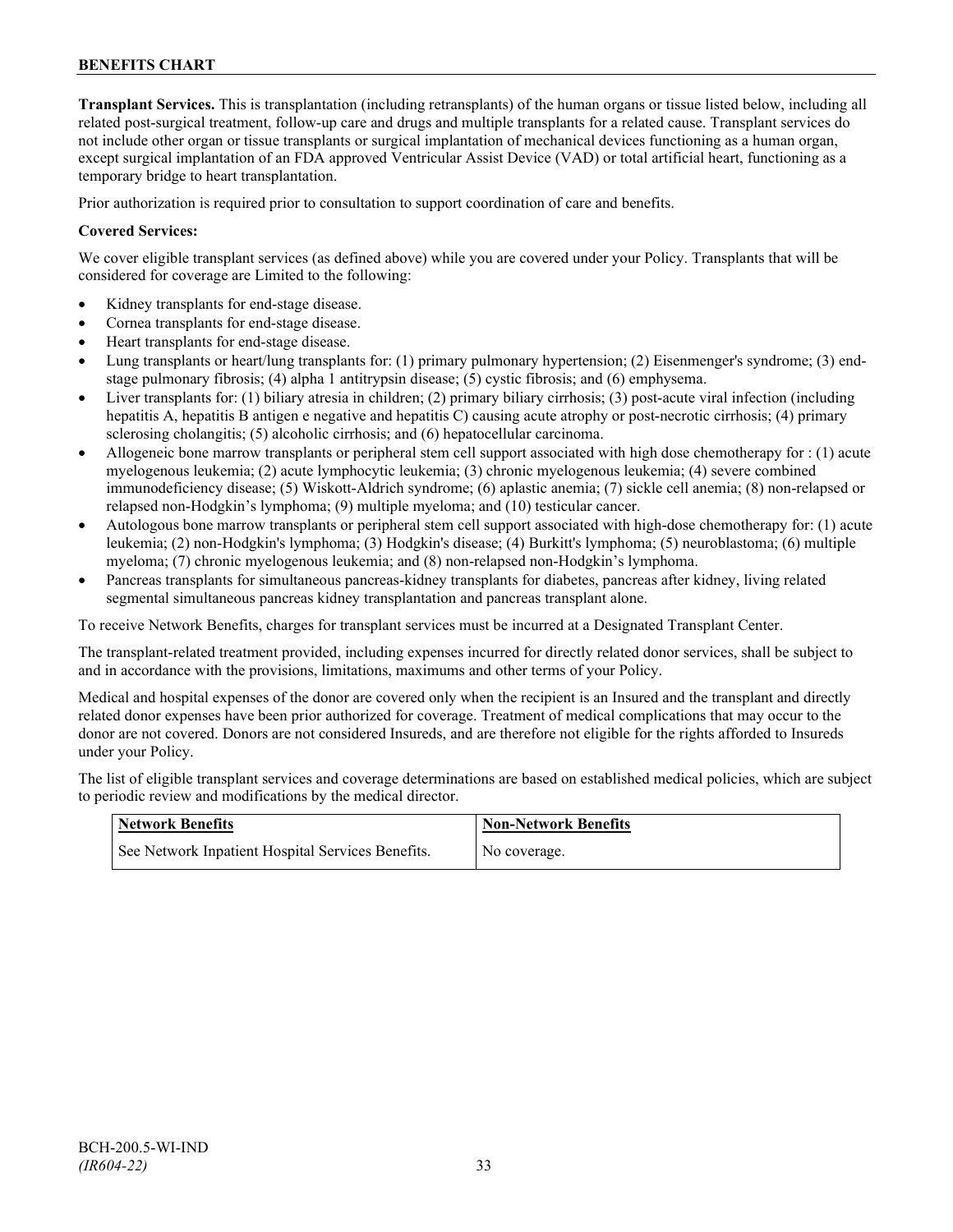**Transplant Services.** This is transplantation (including retransplants) of the human organs or tissue listed below, including all related post-surgical treatment, follow-up care and drugs and multiple transplants for a related cause. Transplant services do not include other organ or tissue transplants or surgical implantation of mechanical devices functioning as a human organ, except surgical implantation of an FDA approved Ventricular Assist Device (VAD) or total artificial heart, functioning as a temporary bridge to heart transplantation.

Prior authorization is required prior to consultation to support coordination of care and benefits.

#### **Covered Services:**

We cover eligible transplant services (as defined above) while you are covered under your Policy. Transplants that will be considered for coverage are Limited to the following:

- Kidney transplants for end-stage disease.
- Cornea transplants for end-stage disease.
- Heart transplants for end-stage disease.
- Lung transplants or heart/lung transplants for: (1) primary pulmonary hypertension; (2) Eisenmenger's syndrome; (3) endstage pulmonary fibrosis; (4) alpha 1 antitrypsin disease; (5) cystic fibrosis; and (6) emphysema.
- Liver transplants for: (1) biliary atresia in children; (2) primary biliary cirrhosis; (3) post-acute viral infection (including hepatitis A, hepatitis B antigen e negative and hepatitis C) causing acute atrophy or post-necrotic cirrhosis; (4) primary sclerosing cholangitis; (5) alcoholic cirrhosis; and (6) hepatocellular carcinoma.
- Allogeneic bone marrow transplants or peripheral stem cell support associated with high dose chemotherapy for : (1) acute myelogenous leukemia; (2) acute lymphocytic leukemia; (3) chronic myelogenous leukemia; (4) severe combined immunodeficiency disease; (5) Wiskott-Aldrich syndrome; (6) aplastic anemia; (7) sickle cell anemia; (8) non-relapsed or relapsed non-Hodgkin's lymphoma; (9) multiple myeloma; and (10) testicular cancer.
- Autologous bone marrow transplants or peripheral stem cell support associated with high-dose chemotherapy for: (1) acute leukemia; (2) non-Hodgkin's lymphoma; (3) Hodgkin's disease; (4) Burkitt's lymphoma; (5) neuroblastoma; (6) multiple myeloma; (7) chronic myelogenous leukemia; and (8) non-relapsed non-Hodgkin's lymphoma.
- Pancreas transplants for simultaneous pancreas-kidney transplants for diabetes, pancreas after kidney, living related segmental simultaneous pancreas kidney transplantation and pancreas transplant alone.

To receive Network Benefits, charges for transplant services must be incurred at a Designated Transplant Center.

The transplant-related treatment provided, including expenses incurred for directly related donor services, shall be subject to and in accordance with the provisions, limitations, maximums and other terms of your Policy.

Medical and hospital expenses of the donor are covered only when the recipient is an Insured and the transplant and directly related donor expenses have been prior authorized for coverage. Treatment of medical complications that may occur to the donor are not covered. Donors are not considered Insureds, and are therefore not eligible for the rights afforded to Insureds under your Policy.

The list of eligible transplant services and coverage determinations are based on established medical policies, which are subject to periodic review and modifications by the medical director.

| <b>Network Benefits</b>                           | Mon-Network Benefits |
|---------------------------------------------------|----------------------|
| See Network Inpatient Hospital Services Benefits. | No coverage.         |